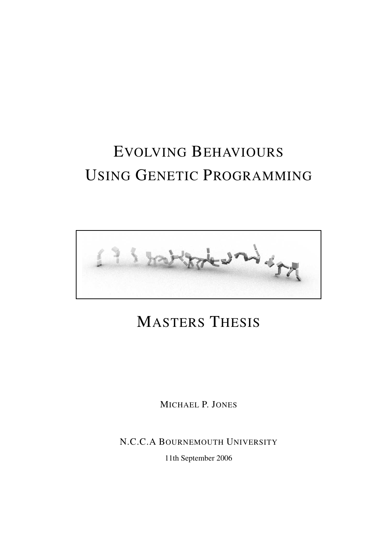# EVOLVING BEHAVIOURS USING GENETIC PROGRAMMING



# MASTERS THESIS

MICHAEL P. JONES

N.C.C.A BOURNEMOUTH UNIVERSITY

11th September 2006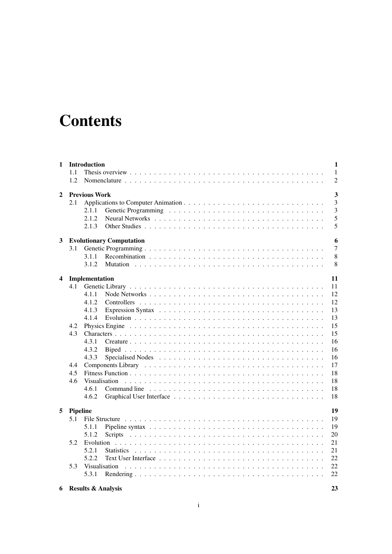# **Contents**

| 1                       |          | Introduction         |                                 | $\mathbf{1}$   |
|-------------------------|----------|----------------------|---------------------------------|----------------|
|                         | 1.1      |                      |                                 | 1              |
|                         | 1.2      |                      |                                 | $\overline{2}$ |
| 2                       |          | <b>Previous Work</b> |                                 | $\mathbf{3}$   |
|                         | 2.1      |                      |                                 | 3              |
|                         |          | 2.1.1                |                                 | 3              |
|                         |          | 2.1.2                |                                 | 5              |
|                         |          | 2.1.3                |                                 | 5              |
| 3                       |          |                      | <b>Evolutionary Computation</b> | 6              |
|                         | 3.1      |                      |                                 | 7              |
|                         |          | 3.1.1                |                                 | 8              |
|                         |          | 3.1.2                | Mutation                        | 8              |
|                         |          |                      |                                 |                |
| $\overline{\mathbf{4}}$ |          | Implementation       |                                 | 11             |
|                         | 4.1      |                      | 11                              |                |
|                         |          | 4.1.1                |                                 | 12             |
|                         |          | 4.1.2                | 12                              |                |
|                         |          | 4.1.3                | 13                              |                |
|                         |          | 4.1.4                |                                 | 13             |
|                         | 4.2      |                      | 15                              |                |
|                         | 4.3      |                      |                                 | 15             |
|                         |          | 4.3.1                |                                 | 16             |
|                         |          | 4.3.2                |                                 | 16             |
|                         |          | 4.3.3                |                                 | 16             |
|                         | 4.4      |                      |                                 | 17             |
|                         | 4.5      |                      |                                 | 18             |
|                         | 4.6      | Visualisation        | 18                              |                |
|                         |          | 4.6.1                | 18                              |                |
|                         |          | 4.6.2                |                                 | 18             |
| 5                       | Pipeline |                      |                                 | 19             |
|                         | 5.1      |                      |                                 | 19             |
|                         |          | 5.1.1                |                                 | 19             |
|                         |          | 5.1.2                | 20                              |                |
|                         | 5.2      |                      | 21                              |                |
|                         |          | 5.2.1                | 21                              |                |
|                         |          | 5.2.2                | 22                              |                |
|                         | 5.3      | Visualisation        | 22                              |                |
|                         |          | 5.3.1                |                                 | 22             |
|                         |          |                      |                                 |                |

|  | <b>6</b> Results & Analysis |  |
|--|-----------------------------|--|
|--|-----------------------------|--|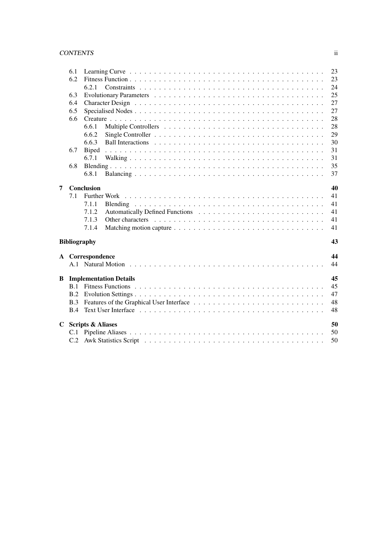#### CONTENTS ii

|   | 6.1 |                               | 23 |
|---|-----|-------------------------------|----|
|   | 6.2 |                               | 23 |
|   |     | 6.2.1                         | 24 |
|   | 6.3 |                               | 25 |
|   | 6.4 |                               | 27 |
|   | 6.5 |                               | 27 |
|   | 6.6 |                               | 28 |
|   |     | 6.6.1                         | 28 |
|   |     | 6.6.2                         | 29 |
|   |     | 6.6.3                         | 30 |
|   | 6.7 | <b>Biped</b>                  | 31 |
|   |     | 6.7.1                         | 31 |
|   | 6.8 |                               | 35 |
|   |     | 6.8.1                         | 37 |
| 7 |     | Conclusion                    | 40 |
|   | 7.1 |                               | 41 |
|   |     | 7.1.1                         | 41 |
|   |     | 7.1.2                         | 41 |
|   |     | 7.1.3                         | 41 |
|   |     | 7.1.4                         | 41 |
|   |     | <b>Bibliography</b>           | 43 |
|   |     | A Correspondence              | 44 |
|   |     |                               | 44 |
| B |     | <b>Implementation Details</b> | 45 |
|   |     |                               | 45 |
|   | B.2 |                               | 47 |
|   | B.3 |                               | 48 |
|   | B.4 |                               | 48 |
| C |     | <b>Scripts &amp; Aliases</b>  | 50 |
|   |     |                               | 50 |
|   |     |                               | 50 |
|   |     |                               |    |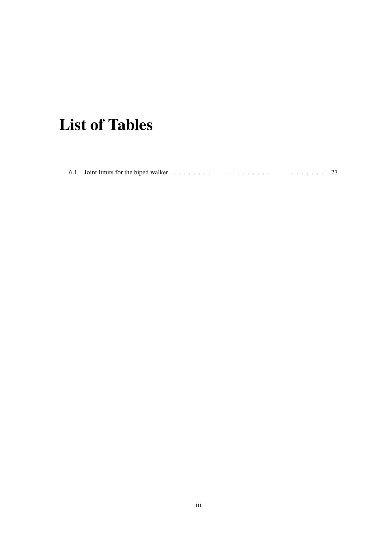# **List of Tables**

|--|--|--|--|--|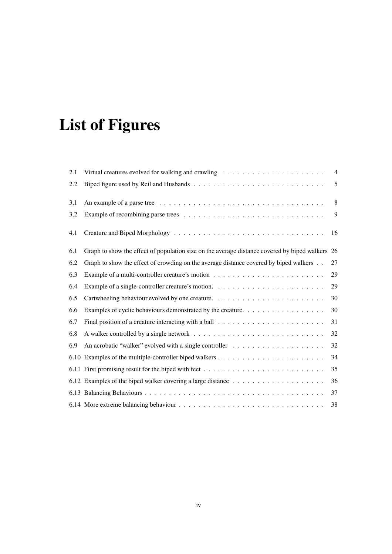# **List of Figures**

| 2.1 | Virtual creatures evolved for walking and crawling $\ldots \ldots \ldots \ldots \ldots \ldots \ldots \ldots$           | $\overline{4}$ |
|-----|------------------------------------------------------------------------------------------------------------------------|----------------|
| 2.2 |                                                                                                                        | 5              |
| 3.1 | An example of a parse tree $\dots \dots \dots \dots \dots \dots \dots \dots \dots \dots \dots \dots \dots \dots \dots$ | 8              |
| 3.2 |                                                                                                                        | 9              |
| 4.1 |                                                                                                                        | 16             |
| 6.1 | Graph to show the effect of population size on the average distance covered by biped walkers 26                        |                |
| 6.2 | Graph to show the effect of crowding on the average distance covered by biped walkers                                  | 27             |
| 6.3 |                                                                                                                        | 29             |
| 6.4 |                                                                                                                        | 29             |
| 6.5 |                                                                                                                        | 30             |
| 6.6 | Examples of cyclic behaviours demonstrated by the creature.                                                            | 30             |
| 6.7 |                                                                                                                        | 31             |
| 6.8 |                                                                                                                        | 32             |
| 6.9 |                                                                                                                        | 32             |
|     |                                                                                                                        | 34             |
|     |                                                                                                                        | 35             |
|     |                                                                                                                        | 36             |
|     |                                                                                                                        | 37             |
|     |                                                                                                                        | 38             |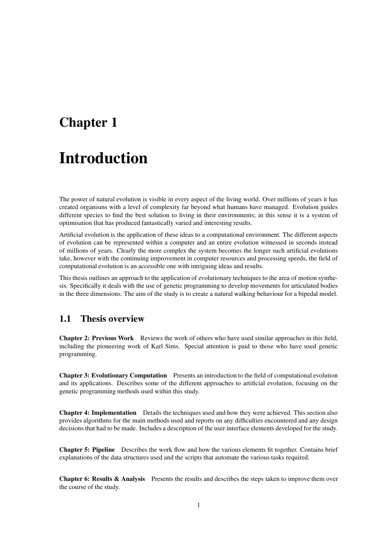## **Chapter 1**

# **Introduction**

The power of natural evolution is visible in every aspect of the living world. Over millions of years it has created organisms with a level of complexity far beyond what humans have managed. Evolution guides different species to find the best solution to living in their environments; in this sense it is a system of optimisation that has produced fantastically varied and interesting results.

Artificial evolution is the application of these ideas to a computational environment. The different aspects of evolution can be represented within a computer and an entire evolution witnessed in seconds instead of millions of years. Clearly the more complex the system becomes the longer such artificial evolutions take, however with the continuing improvement in computer resources and processing speeds, the field of computational evolution is an accessible one with intriguing ideas and results.

This thesis outlines an approach to the application of evolutionary techniques to the area of motion synthesis. Specifically it deals with the use of genetic programming to develop movements for articulated bodies in the three dimensions. The aim of the study is to create a natural walking behaviour for a bipedal model.

## **1.1 Thesis overview**

**Chapter 2: Previous Work** Reviews the work of others who have used similar approaches in this field, including the pioneering work of Karl Sims. Special attention is paid to those who have used genetic programming.

**Chapter 3: Evolutionary Computation** Presents an introduction to the field of computational evolution and its applications. Describes some of the different approaches to artificial evolution, focusing on the genetic programming methods used within this study.

**Chapter 4: Implementation** Details the techniques used and how they were achieved. This section also provides algorithms for the main methods used and reports on any difficulties encountered and any design decisions that had to be made. Includes a description of the user interface elements developed for the study.

**Chapter 5: Pipeline** Describes the work flow and how the various elements fit together. Contains brief explanations of the data structures used and the scripts that automate the various tasks required.

**Chapter 6: Results & Analysis** Presents the results and describes the steps taken to improve them over the course of the study.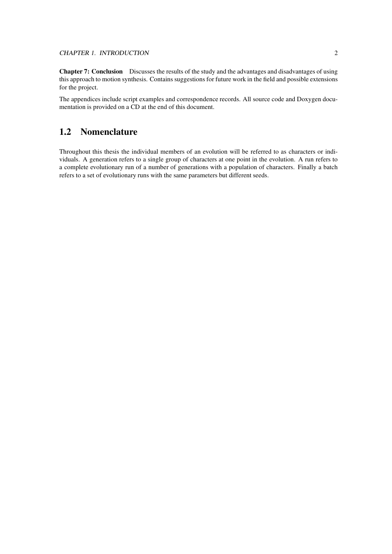**Chapter 7: Conclusion** Discusses the results of the study and the advantages and disadvantages of using this approach to motion synthesis. Contains suggestions for future work in the field and possible extensions for the project.

The appendices include script examples and correspondence records. All source code and Doxygen documentation is provided on a CD at the end of this document.

## **1.2 Nomenclature**

Throughout this thesis the individual members of an evolution will be referred to as characters or individuals. A generation refers to a single group of characters at one point in the evolution. A run refers to a complete evolutionary run of a number of generations with a population of characters. Finally a batch refers to a set of evolutionary runs with the same parameters but different seeds.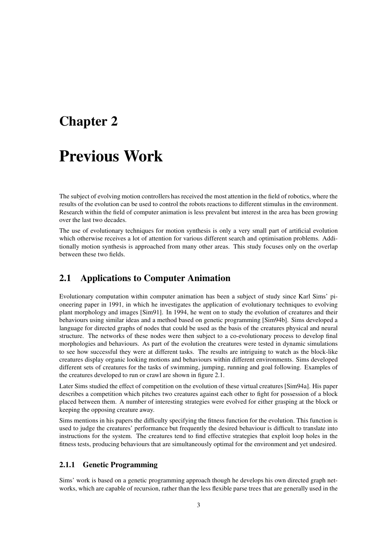## **Chapter 2**

## **Previous Work**

The subject of evolving motion controllers has received the most attention in the field of robotics, where the results of the evolution can be used to control the robots reactions to different stimulus in the environment. Research within the field of computer animation is less prevalent but interest in the area has been growing over the last two decades.

The use of evolutionary techniques for motion synthesis is only a very small part of artificial evolution which otherwise receives a lot of attention for various different search and optimisation problems. Additionally motion synthesis is approached from many other areas. This study focuses only on the overlap between these two fields.

## **2.1 Applications to Computer Animation**

Evolutionary computation within computer animation has been a subject of study since Karl Sims' pioneering paper in 1991, in which he investigates the application of evolutionary techniques to evolving plant morphology and images [Sim91]. In 1994, he went on to study the evolution of creatures and their behaviours using similar ideas and a method based on genetic programming [Sim94b]. Sims developed a language for directed graphs of nodes that could be used as the basis of the creatures physical and neural structure. The networks of these nodes were then subject to a co-evolutionary process to develop final morphologies and behaviours. As part of the evolution the creatures were tested in dynamic simulations to see how successful they were at different tasks. The results are intriguing to watch as the block-like creatures display organic looking motions and behaviours within different environments. Sims developed different sets of creatures for the tasks of swimming, jumping, running and goal following. Examples of the creatures developed to run or crawl are shown in figure 2.1.

Later Sims studied the effect of competition on the evolution of these virtual creatures [Sim94a]. His paper describes a competition which pitches two creatures against each other to fight for possession of a block placed between them. A number of interesting strategies were evolved for either grasping at the block or keeping the opposing creature away.

Sims mentions in his papers the difficulty specifying the fitness function for the evolution. This function is used to judge the creatures' performance but frequently the desired behaviour is difficult to translate into instructions for the system. The creatures tend to find effective strategies that exploit loop holes in the fitness tests, producing behaviours that are simultaneously optimal for the environment and yet undesired.

#### **2.1.1 Genetic Programming**

Sims' work is based on a genetic programming approach though he develops his own directed graph networks, which are capable of recursion, rather than the less flexible parse trees that are generally used in the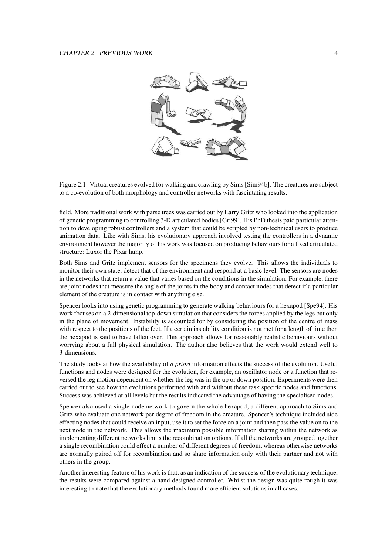

Figure 2.1: Virtual creatures evolved for walking and crawling by Sims [Sim94b]. The creatures are subject to a co-evolution of both morphology and controller networks with fascintating results.

field. More traditional work with parse trees was carried out by Larry Gritz who looked into the application of genetic programming to controlling 3-D articulated bodies [Gri99]. His PhD thesis paid particular attention to developing robust controllers and a system that could be scripted by non-technical users to produce animation data. Like with Sims, his evolutionary approach involved testing the controllers in a dynamic environment however the majority of his work was focused on producing behaviours for a fixed articulated structure: Luxor the Pixar lamp.

Both Sims and Gritz implement sensors for the specimens they evolve. This allows the individuals to monitor their own state, detect that of the environment and respond at a basic level. The sensors are nodes in the networks that return a value that varies based on the conditions in the simulation. For example, there are joint nodes that measure the angle of the joints in the body and contact nodes that detect if a particular element of the creature is in contact with anything else.

Spencer looks into using genetic programming to generate walking behaviours for a hexapod [Spe94]. His work focuses on a 2-dimensional top-down simulation that considers the forces applied by the legs but only in the plane of movement. Instability is accounted for by considering the position of the centre of mass with respect to the positions of the feet. If a certain instability condition is not met for a length of time then the hexapod is said to have fallen over. This approach allows for reasonably realistic behaviours without worrying about a full physical simulation. The author also believes that the work would extend well to 3-dimensions.

The study looks at how the availability of *a priori* information effects the success of the evolution. Useful functions and nodes were designed for the evolution, for example, an oscillator node or a function that reversed the leg motion dependent on whether the leg was in the up or down position. Experiments were then carried out to see how the evolutions performed with and without these task specific nodes and functions. Success was achieved at all levels but the results indicated the advantage of having the specialised nodes.

Spencer also used a single node network to govern the whole hexapod; a different approach to Sims and Gritz who evaluate one network per degree of freedom in the creature. Spencer's technique included side effecting nodes that could receive an input, use it to set the force on a joint and then pass the value on to the next node in the network. This allows the maximum possible information sharing within the network as implementing different networks limits the recombination options. If all the networks are grouped together a single recombination could effect a number of different degrees of freedom, whereas otherwise networks are normally paired off for recombination and so share information only with their partner and not with others in the group.

Another interesting feature of his work is that, as an indication of the success of the evolutionary technique, the results were compared against a hand designed controller. Whilst the design was quite rough it was interesting to note that the evolutionary methods found more efficient solutions in all cases.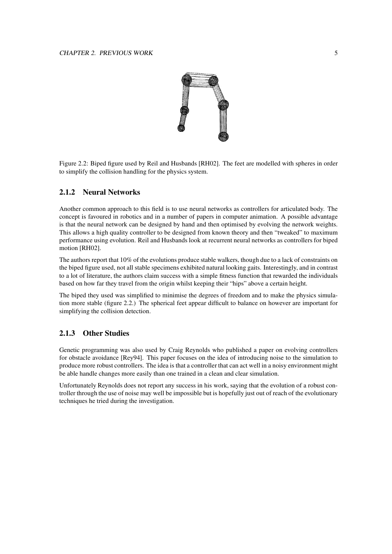

Figure 2.2: Biped figure used by Reil and Husbands [RH02]. The feet are modelled with spheres in order to simplify the collision handling for the physics system.

#### **2.1.2 Neural Networks**

Another common approach to this field is to use neural networks as controllers for articulated body. The concept is favoured in robotics and in a number of papers in computer animation. A possible advantage is that the neural network can be designed by hand and then optimised by evolving the network weights. This allows a high quality controller to be designed from known theory and then "tweaked" to maximum performance using evolution. Reil and Husbands look at recurrent neural networks as controllers for biped motion [RH02].

The authors report that 10% of the evolutions produce stable walkers, though due to a lack of constraints on the biped figure used, not all stable specimens exhibited natural looking gaits. Interestingly, and in contrast to a lot of literature, the authors claim success with a simple fitness function that rewarded the individuals based on how far they travel from the origin whilst keeping their "hips" above a certain height.

The biped they used was simplified to minimise the degrees of freedom and to make the physics simulation more stable (figure 2.2.) The spherical feet appear difficult to balance on however are important for simplifying the collision detection.

### **2.1.3 Other Studies**

Genetic programming was also used by Craig Reynolds who published a paper on evolving controllers for obstacle avoidance [Rey94]. This paper focuses on the idea of introducing noise to the simulation to produce more robust controllers. The idea is that a controller that can act well in a noisy environment might be able handle changes more easily than one trained in a clean and clear simulation.

Unfortunately Reynolds does not report any success in his work, saying that the evolution of a robust controller through the use of noise may well be impossible but is hopefully just out of reach of the evolutionary techniques he tried during the investigation.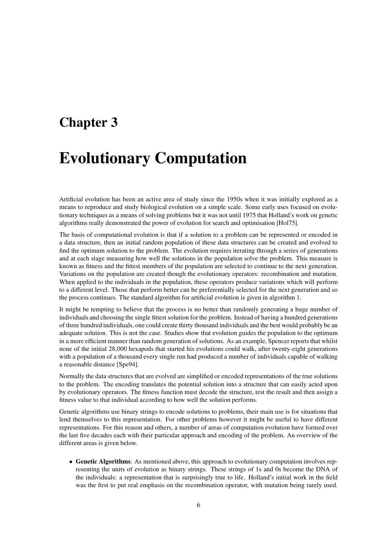## **Chapter 3**

# **Evolutionary Computation**

Artificial evolution has been an active area of study since the 1950s when it was initially explored as a means to reproduce and study biological evolution on a simple scale. Some early uses focused on evolutionary techniques as a means of solving problems but it was not until 1975 that Holland's work on genetic algorithms really demonstrated the power of evolution for search and optimisation [Hol75].

The basis of computational evolution is that if a solution to a problem can be represented or encoded in a data structure, then an initial random population of these data structures can be created and evolved to find the optimum solution to the problem. The evolution requires iterating through a series of generations and at each stage measuring how well the solutions in the population solve the problem. This measure is known as fitness and the fittest members of the population are selected to continue to the next generation. Variations on the population are created though the evolutionary operators: recombination and mutation. When applied to the individuals in the population, these operators produce variations which will perform to a different level. Those that perform better can be preferentially selected for the next generation and so the process continues. The standard algorithm for artificial evolution is given in algorithm 1.

It might be tempting to believe that the process is no better than randomly generating a huge number of individuals and choosing the single fittest solution for the problem. Instead of having a hundred generations of three hundred individuals, one could create thirty thousand individuals and the best would probably be an adequate solution. This is not the case. Studies show that evolution guides the population to the optimum in a more efficient manner than random generation of solutions. As an example, Spencer reports that whilst none of the initial 28,000 hexapods that started his evolutions could walk, after twenty-eight generations with a population of a thousand every single run had produced a number of individuals capable of walking a reasonable distance [Spe94].

Normally the data structures that are evolved are simplified or encoded representations of the true solutions to the problem. The encoding translates the potential solution into a structure that can easily acted upon by evolutionary operators. The fitness function must decode the structure, test the result and then assign a fitness value to that individual according to how well the solution performs.

Genetic algorithms use binary strings to encode solutions to problems, their main use is for situations that lend themselves to this representation. For other problems however it might be useful to have different representations. For this reason and others, a number of areas of computation evolution have formed over the last five decades each with their particular approach and encoding of the problem. An overview of the different areas is given below.

• **Genetic Algorithms**: As mentioned above, this approach to evolutionary computation involves representing the units of evolution as binary strings. These strings of 1s and 0s become the DNA of the individuals: a representation that is surprisingly true to life. Holland's initial work in the field was the first to put real emphasis on the recombination operator, with mutation being rarely used.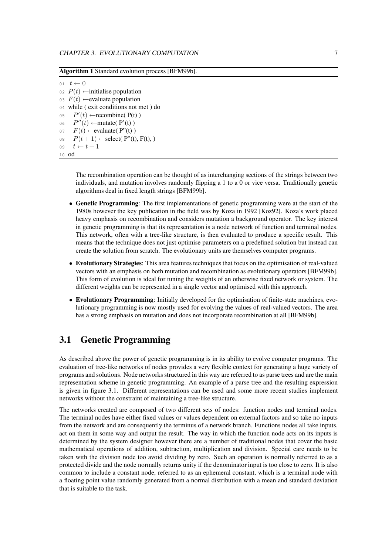**Algorithm 1** Standard evolution process [BFM99b].

 $01 \quad t \leftarrow 0$  $P(t)$  ← initialise population  $F(t)$  ← evaluate population while ( exit conditions not met ) do  $P'(t) \leftarrow$  recombine(P(t))  $P''(t) \leftarrow$ mutate(P'(t))  $F(t)$  ← evaluate( P"(t))  $P(t+1) \leftarrow$ select( P"(t), F(t), )  $t \leftarrow t + 1$ 10 od

> The recombination operation can be thought of as interchanging sections of the strings between two individuals, and mutation involves randomly flipping a 1 to a 0 or vice versa. Traditionally genetic algorithms deal in fixed length strings [BFM99b].

- **Genetic Programming**: The first implementations of genetic programming were at the start of the 1980s however the key publication in the field was by Koza in 1992 [Koz92]. Koza's work placed heavy emphasis on recombination and considers mutation a background operator. The key interest in genetic programming is that its representation is a node network of function and terminal nodes. This network, often with a tree-like structure, is then evaluated to produce a specific result. This means that the technique does not just optimise parameters on a predefined solution but instead can create the solution from scratch. The evolutionary units are themselves computer programs.
- **Evolutionary Strategies**: This area features techniques that focus on the optimisation of real-valued vectors with an emphasis on both mutation and recombination as evolutionary operators [BFM99b]. This form of evolution is ideal for tuning the weights of an otherwise fixed network or system. The different weights can be represented in a single vector and optimised with this approach.
- **Evolutionary Programming**: Initially developed for the optimisation of finite-state machines, evolutionary programming is now mostly used for evolving the values of real-valued vectors. The area has a strong emphasis on mutation and does not incorporate recombination at all [BFM99b].

## **3.1 Genetic Programming**

As described above the power of genetic programming is in its ability to evolve computer programs. The evaluation of tree-like networks of nodes provides a very flexible context for generating a huge variety of programs and solutions. Node networksstructured in this way are referred to as parse trees and are the main representation scheme in genetic programming. An example of a parse tree and the resulting expression is given in figure 3.1. Different representations can be used and some more recent studies implement networks without the constraint of maintaining a tree-like structure.

The networks created are composed of two different sets of nodes: function nodes and terminal nodes. The terminal nodes have either fixed values or values dependent on external factors and so take no inputs from the network and are consequently the terminus of a network branch. Functions nodes all take inputs, act on them in some way and output the result. The way in which the function node acts on its inputs is determined by the system designer however there are a number of traditional nodes that cover the basic mathematical operations of addition, subtraction, multiplication and division. Special care needs to be taken with the division node too avoid dividing by zero. Such an operation is normally referred to as a protected divide and the node normally returns unity if the denominator input is too close to zero. It is also common to include a constant node, referred to as an ephemeral constant, which is a terminal node with a floating point value randomly generated from a normal distribution with a mean and standard deviation that is suitable to the task.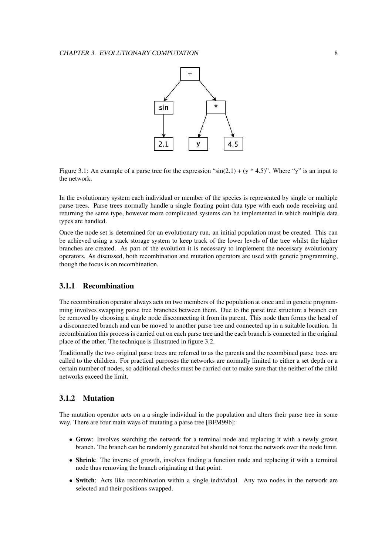

Figure 3.1: An example of a parse tree for the expression " $sin(2.1) + (y * 4.5)$ ". Where "y" is an input to the network.

In the evolutionary system each individual or member of the species is represented by single or multiple parse trees. Parse trees normally handle a single floating point data type with each node receiving and returning the same type, however more complicated systems can be implemented in which multiple data types are handled.

Once the node set is determined for an evolutionary run, an initial population must be created. This can be achieved using a stack storage system to keep track of the lower levels of the tree whilst the higher branches are created. As part of the evolution it is necessary to implement the necessary evolutionary operators. As discussed, both recombination and mutation operators are used with genetic programming, though the focus is on recombination.

#### **3.1.1 Recombination**

The recombination operator always acts on two members of the population at once and in genetic programming involves swapping parse tree branches between them. Due to the parse tree structure a branch can be removed by choosing a single node disconnecting it from its parent. This node then forms the head of a disconnected branch and can be moved to another parse tree and connected up in a suitable location. In recombination this process is carried out on each parse tree and the each branch is connected in the original place of the other. The technique is illustrated in figure 3.2.

Traditionally the two original parse trees are referred to as the parents and the recombined parse trees are called to the children. For practical purposes the networks are normally limited to either a set depth or a certain number of nodes, so additional checks must be carried out to make sure that the neither of the child networks exceed the limit.

#### **3.1.2 Mutation**

The mutation operator acts on a a single individual in the population and alters their parse tree in some way. There are four main ways of mutating a parse tree [BFM99b]:

- **Grow**: Involves searching the network for a terminal node and replacing it with a newly grown branch. The branch can be randomly generated but should not force the network over the node limit.
- **Shrink**: The inverse of growth, involves finding a function node and replacing it with a terminal node thus removing the branch originating at that point.
- **Switch**: Acts like recombination within a single individual. Any two nodes in the network are selected and their positions swapped.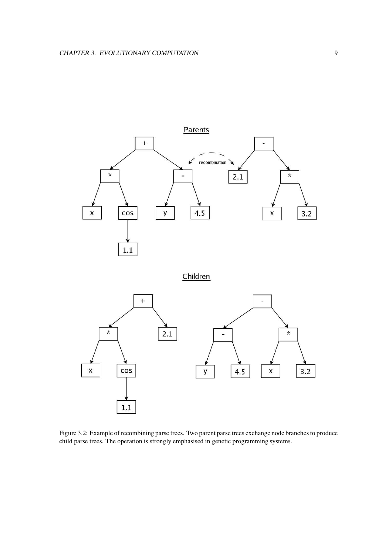

Figure 3.2: Example of recombining parse trees. Two parent parse trees exchange node branches to produce child parse trees. The operation is strongly emphasised in genetic programming systems.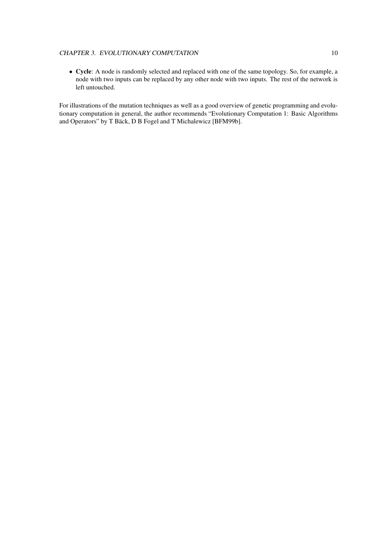#### CHAPTER 3. EVOLUTIONARY COMPUTATION 10

• **Cycle**: A node is randomly selected and replaced with one of the same topology. So, for example, a node with two inputs can be replaced by any other node with two inputs. The rest of the network is left untouched.

For illustrations of the mutation techniques as well as a good overview of genetic programming and evolutionary computation in general, the author recommends "Evolutionary Computation 1: Basic Algorithms and Operators" by T Bäck, D B Fogel and T Michalewicz [BFM99b].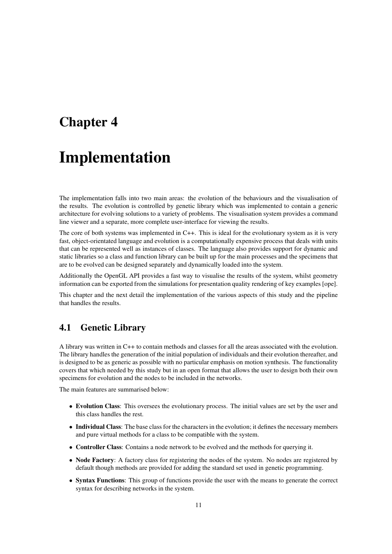## **Chapter 4**

## **Implementation**

The implementation falls into two main areas: the evolution of the behaviours and the visualisation of the results. The evolution is controlled by genetic library which was implemented to contain a generic architecture for evolving solutions to a variety of problems. The visualisation system provides a command line viewer and a separate, more complete user-interface for viewing the results.

The core of both systems was implemented in C++. This is ideal for the evolutionary system as it is very fast, object-orientated language and evolution is a computationally expensive process that deals with units that can be represented well as instances of classes. The language also provides support for dynamic and static libraries so a class and function library can be built up for the main processes and the specimens that are to be evolved can be designed separately and dynamically loaded into the system.

Additionally the OpenGL API provides a fast way to visualise the results of the system, whilst geometry information can be exported from the simulations for presentation quality rendering of key examples [ope].

This chapter and the next detail the implementation of the various aspects of this study and the pipeline that handles the results.

## **4.1 Genetic Library**

A library was written in C++ to contain methods and classes for all the areas associated with the evolution. The library handles the generation of the initial population of individuals and their evolution thereafter, and is designed to be as generic as possible with no particular emphasis on motion synthesis. The functionality covers that which needed by this study but in an open format that allows the user to design both their own specimens for evolution and the nodes to be included in the networks.

The main features are summarised below:

- **Evolution Class**: This oversees the evolutionary process. The initial values are set by the user and this class handles the rest.
- **Individual Class**: The base class for the charactersin the evolution; it defines the necessary members and pure virtual methods for a class to be compatible with the system.
- **Controller Class**: Contains a node network to be evolved and the methods for querying it.
- **Node Factory**: A factory class for registering the nodes of the system. No nodes are registered by default though methods are provided for adding the standard set used in genetic programming.
- **Syntax Functions**: This group of functions provide the user with the means to generate the correct syntax for describing networks in the system.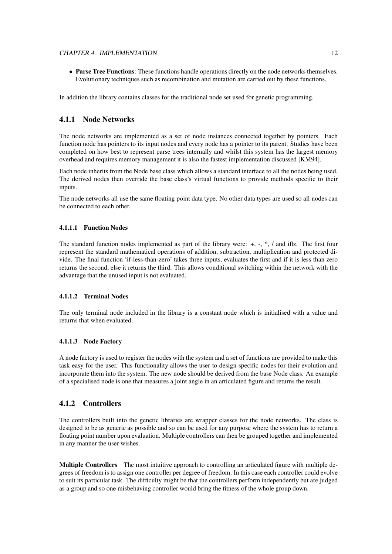#### CHAPTER 4. IMPLEMENTATION 12

• **Parse Tree Functions**: These functions handle operations directly on the node networks themselves. Evolutionary techniques such as recombination and mutation are carried out by these functions.

In addition the library contains classes for the traditional node set used for genetic programming.

### **4.1.1 Node Networks**

The node networks are implemented as a set of node instances connected together by pointers. Each function node has pointers to its input nodes and every node has a pointer to its parent. Studies have been completed on how best to represent parse trees internally and whilst this system has the largest memory overhead and requires memory management it is also the fastest implementation discussed [KM94].

Each node inherits from the Node base class which allows a standard interface to all the nodes being used. The derived nodes then override the base class's virtual functions to provide methods specific to their inputs.

The node networks all use the same floating point data type. No other data types are used so all nodes can be connected to each other.

#### **4.1.1.1 Function Nodes**

The standard function nodes implemented as part of the library were: +, -, \*, / and iflz. The first four represent the standard mathematical operations of addition, subtraction, multiplication and protected divide. The final function 'if-less-than-zero' takes three inputs, evaluates the first and if it is less than zero returns the second, else it returns the third. This allows conditional switching within the network with the advantage that the unused input is not evaluated.

#### **4.1.1.2 Terminal Nodes**

The only terminal node included in the library is a constant node which is initialised with a value and returns that when evaluated.

#### **4.1.1.3 Node Factory**

A node factory is used to register the nodes with the system and a set of functions are provided to make this task easy for the user. This functionality allows the user to design specific nodes for their evolution and incorporate them into the system. The new node should be derived from the base Node class. An example of a specialised node is one that measures a joint angle in an articulated figure and returns the result.

#### **4.1.2 Controllers**

The controllers built into the genetic libraries are wrapper classes for the node networks. The class is designed to be as generic as possible and so can be used for any purpose where the system has to return a floating point number upon evaluation. Multiple controllers can then be grouped together and implemented in any manner the user wishes.

**Multiple Controllers** The most intuitive approach to controlling an articulated figure with multiple degrees of freedom is to assign one controller per degree of freedom. In this case each controller could evolve to suit its particular task. The difficulty might be that the controllers perform independently but are judged as a group and so one misbehaving controller would bring the fitness of the whole group down.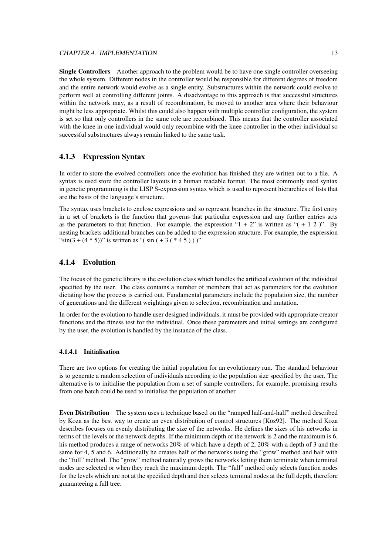**Single Controllers** Another approach to the problem would be to have one single controller overseeing the whole system. Different nodes in the controller would be responsible for different degrees of freedom and the entire network would evolve as a single entity. Substructures within the network could evolve to perform well at controlling different joints. A disadvantage to this approach is that successful structures within the network may, as a result of recombination, be moved to another area where their behaviour might be less appropriate. Whilst this could also happen with multiple controller configuration, the system is set so that only controllers in the same role are recombined. This means that the controller associated with the knee in one individual would only recombine with the knee controller in the other individual so successful substructures always remain linked to the same task.

#### **4.1.3 Expression Syntax**

In order to store the evolved controllers once the evolution has finished they are written out to a file. A syntax is used store the controller layouts in a human readable format. The most commonly used syntax in genetic programming is the LISP S-expression syntax which is used to represent hierarchies of lists that are the basis of the language's structure.

The syntax uses brackets to enclose expressions and so represent branches in the structure. The first entry in a set of brackets is the function that governs that particular expression and any further entries acts as the parameters to that function. For example, the expression " $1 + 2$ " is written as " $( + 1 2)$ ". By nesting brackets additional branches can be added to the expression structure. For example, the expression "sin(3 + (4  $*$  5))" is written as "(sin ( + 3 ( $*$  4 5)))".

#### **4.1.4 Evolution**

The focus of the genetic library is the evolution class which handles the artificial evolution of the individual specified by the user. The class contains a number of members that act as parameters for the evolution dictating how the process is carried out. Fundamental parameters include the population size, the number of generations and the different weightings given to selection, recombination and mutation.

In order for the evolution to handle user designed individuals, it must be provided with appropriate creator functions and the fitness test for the individual. Once these parameters and initial settings are configured by the user, the evolution is handled by the instance of the class.

#### **4.1.4.1 Initialisation**

There are two options for creating the initial population for an evolutionary run. The standard behaviour is to generate a random selection of individuals according to the population size specified by the user. The alternative is to initialise the population from a set of sample controllers; for example, promising results from one batch could be used to initialise the population of another.

**Even Distribution** The system uses a technique based on the "ramped half-and-half" method described by Koza as the best way to create an even distribution of control structures [Koz92]. The method Koza describes focuses on evenly distributing the size of the networks. He defines the sizes of his networks in terms of the levels or the network depths. If the minimum depth of the network is 2 and the maximum is 6, his method produces a range of networks 20% of which have a depth of 2, 20% with a depth of 3 and the same for 4, 5 and 6. Additionally he creates half of the networks using the "grow" method and half with the "full" method. The "grow" method naturally grows the networks letting them terminate when terminal nodes are selected or when they reach the maximum depth. The "full" method only selects function nodes for the levels which are not at the specified depth and then selects terminal nodes at the full depth, therefore guaranteeing a full tree.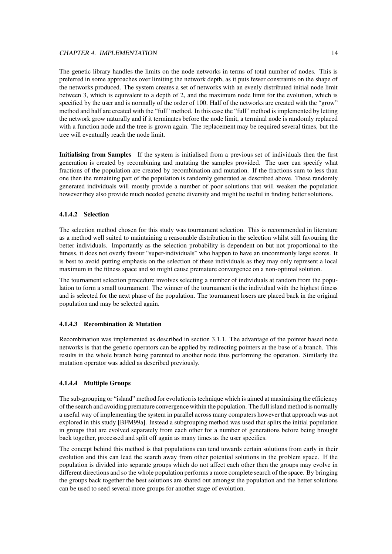#### CHAPTER 4. IMPLEMENTATION 14

The genetic library handles the limits on the node networks in terms of total number of nodes. This is preferred in some approaches over limiting the network depth, as it puts fewer constraints on the shape of the networks produced. The system creates a set of networks with an evenly distributed initial node limit between 3, which is equivalent to a depth of 2, and the maximum node limit for the evolution, which is specified by the user and is normally of the order of 100. Half of the networks are created with the "grow" method and half are created with the "full" method. In this case the "full" method is implemented by letting the network grow naturally and if it terminates before the node limit, a terminal node is randomly replaced with a function node and the tree is grown again. The replacement may be required several times, but the tree will eventually reach the node limit.

**Initialising from Samples** If the system is initialised from a previous set of individuals then the first generation is created by recombining and mutating the samples provided. The user can specify what fractions of the population are created by recombination and mutation. If the fractions sum to less than one then the remaining part of the population is randomly generated as described above. These randomly generated individuals will mostly provide a number of poor solutions that will weaken the population however they also provide much needed genetic diversity and might be useful in finding better solutions.

#### **4.1.4.2 Selection**

The selection method chosen for this study was tournament selection. This is recommended in literature as a method well suited to maintaining a reasonable distribution in the selection whilst still favouring the better individuals. Importantly as the selection probability is dependent on but not proportional to the fitness, it does not overly favour "super-individuals" who happen to have an uncommonly large scores. It is best to avoid putting emphasis on the selection of these individuals as they may only represent a local maximum in the fitness space and so might cause premature convergence on a non-optimal solution.

The tournament selection procedure involves selecting a number of individuals at random from the population to form a small tournament. The winner of the tournament is the individual with the highest fitness and is selected for the next phase of the population. The tournament losers are placed back in the original population and may be selected again.

#### **4.1.4.3 Recombination & Mutation**

Recombination was implemented as described in section 3.1.1. The advantage of the pointer based node networks is that the genetic operators can be applied by redirecting pointers at the base of a branch. This results in the whole branch being parented to another node thus performing the operation. Similarly the mutation operator was added as described previously.

#### **4.1.4.4 Multiple Groups**

The sub-grouping or "island" method for evolution is technique which is aimed at maximising the efficiency of the search and avoiding premature convergencewithin the population. The full island method is normally a useful way of implementing the system in parallel across many computers however that approach was not explored in this study [BFM99a]. Instead a subgrouping method was used that splits the initial population in groups that are evolved separately from each other for a number of generations before being brought back together, processed and split off again as many times as the user specifies.

The concept behind this method is that populations can tend towards certain solutions from early in their evolution and this can lead the search away from other potential solutions in the problem space. If the population is divided into separate groups which do not affect each other then the groups may evolve in different directions and so the whole population performs a more complete search of the space. By bringing the groups back together the best solutions are shared out amongst the population and the better solutions can be used to seed several more groups for another stage of evolution.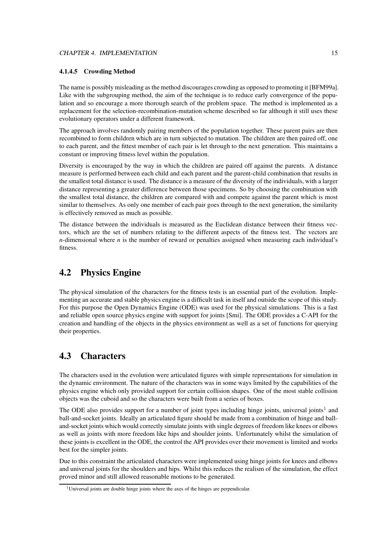#### **4.1.4.5 Crowding Method**

The name is possibly misleading as the method discourages crowding as opposed to promoting it [BFM99a]. Like with the subgrouping method, the aim of the technique is to reduce early convergence of the population and so encourage a more thorough search of the problem space. The method is implemented as a replacement for the selection-recombination-mutation scheme described so far although it still uses these evolutionary operators under a different framework.

The approach involves randomly pairing members of the population together. These parent pairs are then recombined to form children which are in turn subjected to mutation. The children are then paired off, one to each parent, and the fittest member of each pair is let through to the next generation. This maintains a constant or improving fitness level within the population.

Diversity is encouraged by the way in which the children are paired off against the parents. A distance measure is performed between each child and each parent and the parent-child combination that results in the smallest total distance is used. The distance is a measure of the diversity of the individuals, with a larger distance representing a greater difference between those specimens. So by choosing the combination with the smallest total distance, the children are compared with and compete against the parent which is most similar to themselves. As only one member of each pair goes through to the next generation, the similarity is effectively removed as much as possible.

The distance between the individuals is measured as the Euclidean distance between their fitness vectors, which are the set of numbers relating to the different aspects of the fitness test. The vectors are *n*-dimensional where *n* is the number of reward or penalties assigned when measuring each individual's fitness.

## **4.2 Physics Engine**

The physical simulation of the characters for the fitness tests is an essential part of the evolution. Implementing an accurate and stable physics engine is a difficult task in itself and outside the scope of this study. For this purpose the Open Dynamics Engine (ODE) was used for the physical simulations. This is a fast and reliable open source physics engine with support for joints [Smi]. The ODE provides a C-API for the creation and handling of the objects in the physics environment as well as a set of functions for querying their properties.

## **4.3 Characters**

The characters used in the evolution were articulated figures with simple representations for simulation in the dynamic environment. The nature of the characters was in some ways limited by the capabilities of the physics engine which only provided support for certain collision shapes. One of the most stable collision objects was the cuboid and so the characters were built from a series of boxes.

The ODE also provides support for a number of joint types including hinge joints, universal joints<sup>1</sup> and ball-and-socket joints. Ideally an articulated figure should be made from a combination of hinge and balland-socket joints which would correctly simulate joints with single degrees of freedom like knees or elbows as well as joints with more freedom like hips and shoulder joints. Unfortunately whilst the simulation of these joints is excellent in the ODE, the control the API provides over their movement is limited and works best for the simpler joints.

Due to this constraint the articulated characters were implemented using hinge joints for knees and elbows and universal joints for the shoulders and hips. Whilst this reduces the realism of the simulation, the effect proved minor and still allowed reasonable motions to be generated.

<sup>&</sup>lt;sup>1</sup>Universal joints are double hinge joints where the axes of the hinges are perpendicular.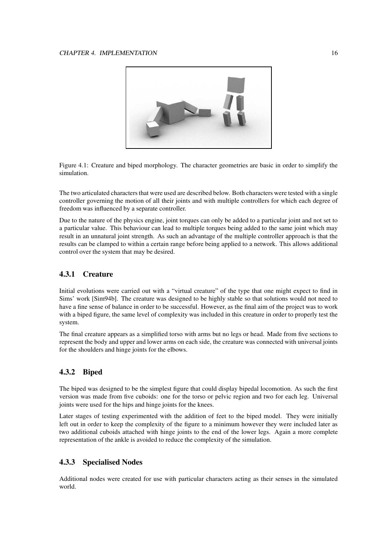

Figure 4.1: Creature and biped morphology. The character geometries are basic in order to simplify the simulation.

The two articulated characters that were used are described below. Both characters were tested with a single controller governing the motion of all their joints and with multiple controllers for which each degree of freedom was influenced by a separate controller.

Due to the nature of the physics engine, joint torques can only be added to a particular joint and not set to a particular value. This behaviour can lead to multiple torques being added to the same joint which may result in an unnatural joint strength. As such an advantage of the multiple controller approach is that the results can be clamped to within a certain range before being applied to a network. This allows additional control over the system that may be desired.

### **4.3.1 Creature**

Initial evolutions were carried out with a "virtual creature" of the type that one might expect to find in Sims' work [Sim94b]. The creature was designed to be highly stable so that solutions would not need to have a fine sense of balance in order to be successful. However, as the final aim of the project was to work with a biped figure, the same level of complexity was included in this creature in order to properly test the system.

The final creature appears as a simplified torso with arms but no legs or head. Made from five sections to represent the body and upper and lower arms on each side, the creature was connected with universal joints for the shoulders and hinge joints for the elbows.

### **4.3.2 Biped**

The biped was designed to be the simplest figure that could display bipedal locomotion. As such the first version was made from five cuboids: one for the torso or pelvic region and two for each leg. Universal joints were used for the hips and hinge joints for the knees.

Later stages of testing experimented with the addition of feet to the biped model. They were initially left out in order to keep the complexity of the figure to a minimum however they were included later as two additional cuboids attached with hinge joints to the end of the lower legs. Again a more complete representation of the ankle is avoided to reduce the complexity of the simulation.

#### **4.3.3 Specialised Nodes**

Additional nodes were created for use with particular characters acting as their senses in the simulated world.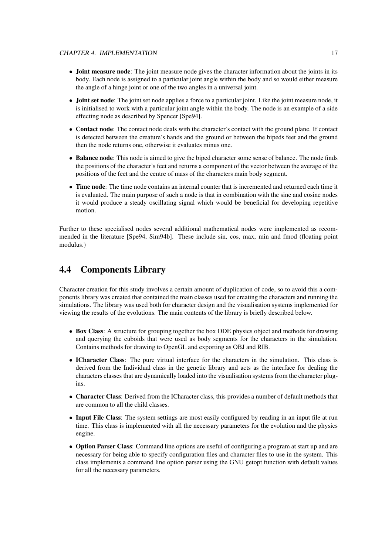- **Joint measure node**: The joint measure node gives the character information about the joints in its body. Each node is assigned to a particular joint angle within the body and so would either measure the angle of a hinge joint or one of the two angles in a universal joint.
- **Joint set node**: The joint set node applies a force to a particular joint. Like the joint measure node, it is initialised to work with a particular joint angle within the body. The node is an example of a side effecting node as described by Spencer [Spe94].
- **Contact node**: The contact node deals with the character's contact with the ground plane. If contact is detected between the creature's hands and the ground or between the bipeds feet and the ground then the node returns one, otherwise it evaluates minus one.
- **Balance node**: This node is aimed to give the biped character some sense of balance. The node finds the positions of the character's feet and returns a component of the vector between the average of the positions of the feet and the centre of mass of the characters main body segment.
- **Time node**: The time node contains an internal counter that is incremented and returned each time it is evaluated. The main purpose of such a node is that in combination with the sine and cosine nodes it would produce a steady oscillating signal which would be beneficial for developing repetitive motion.

Further to these specialised nodes several additional mathematical nodes were implemented as recommended in the literature [Spe94, Sim94b]. These include sin, cos, max, min and fmod (floating point modulus.)

## **4.4 Components Library**

Character creation for this study involves a certain amount of duplication of code, so to avoid this a components library was created that contained the main classes used for creating the characters and running the simulations. The library was used both for character design and the visualisation systems implemented for viewing the results of the evolutions. The main contents of the library is briefly described below.

- **Box Class**: A structure for grouping together the box ODE physics object and methods for drawing and querying the cuboids that were used as body segments for the characters in the simulation. Contains methods for drawing to OpenGL and exporting as OBJ and RIB.
- **ICharacter Class**: The pure virtual interface for the characters in the simulation. This class is derived from the Individual class in the genetic library and acts as the interface for dealing the characters classes that are dynamically loaded into the visualisation systems from the character plugins.
- **Character Class**: Derived from the ICharacter class, this provides a number of default methods that are common to all the child classes.
- **Input File Class**: The system settings are most easily configured by reading in an input file at run time. This class is implemented with all the necessary parameters for the evolution and the physics engine.
- **Option Parser Class**: Command line options are useful of configuring a program at start up and are necessary for being able to specify configuration files and character files to use in the system. This class implements a command line option parser using the GNU getopt function with default values for all the necessary parameters.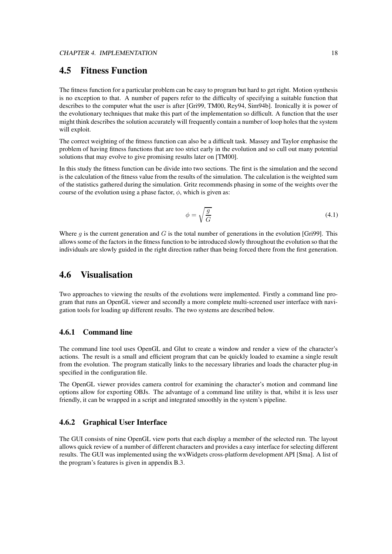## **4.5 Fitness Function**

The fitness function for a particular problem can be easy to program but hard to get right. Motion synthesis is no exception to that. A number of papers refer to the difficulty of specifying a suitable function that describes to the computer what the user is after [Gri99, TM00, Rey94, Sim94b]. Ironically it is power of the evolutionary techniques that make this part of the implementation so difficult. A function that the user might think describes the solution accurately will frequently contain a number of loop holes that the system will exploit.

The correct weighting of the fitness function can also be a difficult task. Massey and Taylor emphasise the problem of having fitness functions that are too strict early in the evolution and so cull out many potential solutions that may evolve to give promising results later on [TM00].

In this study the fitness function can be divide into two sections. The first is the simulation and the second is the calculation of the fitness value from the results of the simulation. The calculation is the weighted sum of the statistics gathered during the simulation. Gritz recommends phasing in some of the weights over the course of the evolution using a phase factor,  $\phi$ , which is given as:

$$
\phi = \sqrt{\frac{g}{G}}\tag{4.1}
$$

Where q is the current generation and G is the total number of generations in the evolution [Gri99]. This allows some of the factors in the fitness function to be introduced slowly throughout the evolution so that the individuals are slowly guided in the right direction rather than being forced there from the first generation.

### **4.6 Visualisation**

Two approaches to viewing the results of the evolutions were implemented. Firstly a command line program that runs an OpenGL viewer and secondly a more complete multi-screened user interface with navigation tools for loading up different results. The two systems are described below.

#### **4.6.1 Command line**

The command line tool uses OpenGL and Glut to create a window and render a view of the character's actions. The result is a small and efficient program that can be quickly loaded to examine a single result from the evolution. The program statically links to the necessary libraries and loads the character plug-in specified in the configuration file.

The OpenGL viewer provides camera control for examining the character's motion and command line options allow for exporting OBJs. The advantage of a command line utility is that, whilst it is less user friendly, it can be wrapped in a script and integrated smoothly in the system's pipeline.

#### **4.6.2 Graphical User Interface**

The GUI consists of nine OpenGL view ports that each display a member of the selected run. The layout allows quick review of a number of different characters and provides a easy interface for selecting different results. The GUI was implemented using the wxWidgets cross-platform development API [Sma]. A list of the program's features is given in appendix B.3.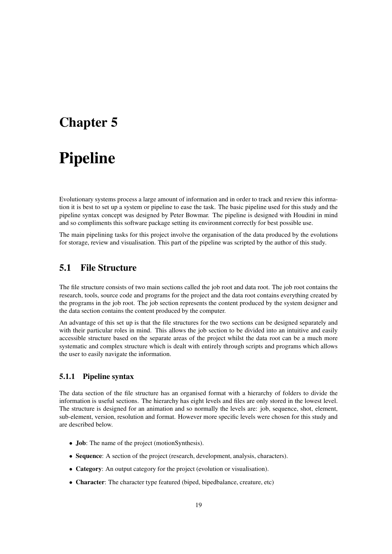## **Chapter 5**

# **Pipeline**

Evolutionary systems process a large amount of information and in order to track and review this information it is best to set up a system or pipeline to ease the task. The basic pipeline used for this study and the pipeline syntax concept was designed by Peter Bowmar. The pipeline is designed with Houdini in mind and so compliments this software package setting its environment correctly for best possible use.

The main pipelining tasks for this project involve the organisation of the data produced by the evolutions for storage, review and visualisation. This part of the pipeline was scripted by the author of this study.

## **5.1 File Structure**

The file structure consists of two main sections called the job root and data root. The job root contains the research, tools, source code and programs for the project and the data root contains everything created by the programs in the job root. The job section represents the content produced by the system designer and the data section contains the content produced by the computer.

An advantage of this set up is that the file structures for the two sections can be designed separately and with their particular roles in mind. This allows the job section to be divided into an intuitive and easily accessible structure based on the separate areas of the project whilst the data root can be a much more systematic and complex structure which is dealt with entirely through scripts and programs which allows the user to easily navigate the information.

#### **5.1.1 Pipeline syntax**

The data section of the file structure has an organised format with a hierarchy of folders to divide the information is useful sections. The hierarchy has eight levels and files are only stored in the lowest level. The structure is designed for an animation and so normally the levels are: job, sequence, shot, element, sub-element, version, resolution and format. However more specific levels were chosen for this study and are described below.

- **Job**: The name of the project (motionSynthesis).
- **Sequence**: A section of the project (research, development, analysis, characters).
- **Category**: An output category for the project (evolution or visualisation).
- **Character**: The character type featured (biped, bipedbalance, creature, etc)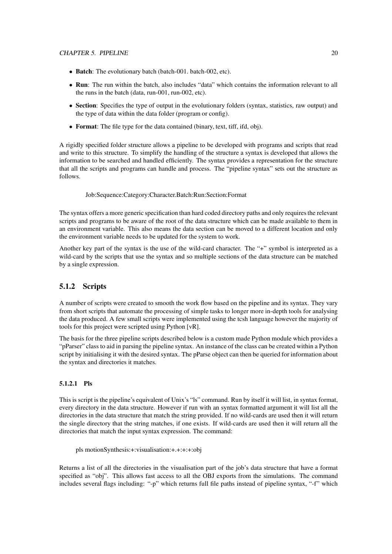- **Batch**: The evolutionary batch (batch-001. batch-002, etc).
- **Run**: The run within the batch, also includes "data" which contains the information relevant to all the runs in the batch (data, run-001, run-002, etc).
- **Section**: Specifies the type of output in the evolutionary folders (syntax, statistics, raw output) and the type of data within the data folder (program or config).
- **Format**: The file type for the data contained (binary, text, tiff, ifd, obj).

A rigidly specified folder structure allows a pipeline to be developed with programs and scripts that read and write to this structure. To simplify the handling of the structure a syntax is developed that allows the information to be searched and handled efficiently. The syntax provides a representation for the structure that all the scripts and programs can handle and process. The "pipeline syntax" sets out the structure as follows.

Job:Sequence:Category:Character.Batch:Run:Section:Format

The syntax offers a more generic specification than hard coded directory paths and only requires the relevant scripts and programs to be aware of the root of the data structure which can be made available to them in an environment variable. This also means the data section can be moved to a different location and only the environment variable needs to be updated for the system to work.

Another key part of the syntax is the use of the wild-card character. The "+" symbol is interpreted as a wild-card by the scripts that use the syntax and so multiple sections of the data structure can be matched by a single expression.

### **5.1.2 Scripts**

A number of scripts were created to smooth the work flow based on the pipeline and its syntax. They vary from short scripts that automate the processing of simple tasks to longer more in-depth tools for analysing the data produced. A few small scripts were implemented using the tcsh language however the majority of tools for this project were scripted using Python [vR].

The basis for the three pipeline scripts described below is a custom made Python module which provides a "pParser" class to aid in parsing the pipeline syntax. An instance of the class can be created within a Python script by initialising it with the desired syntax. The pParse object can then be queried for information about the syntax and directories it matches.

#### **5.1.2.1 Pls**

This is script is the pipeline's equivalent of Unix's "ls" command. Run by itself it will list, in syntax format, every directory in the data structure. However if run with an syntax formatted argument it will list all the directories in the data structure that match the string provided. If no wild-cards are used then it will return the single directory that the string matches, if one exists. If wild-cards are used then it will return all the directories that match the input syntax expression. The command:

pls motionSynthesis:+:visualisation:+.+:+:+:obj

Returns a list of all the directories in the visualisation part of the job's data structure that have a format specified as "obj". This allows fast access to all the OBJ exports from the simulations. The command includes several flags including: "-p" which returns full file paths instead of pipeline syntax, "-f" which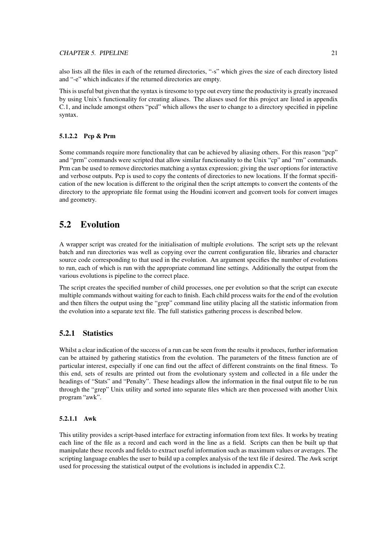also lists all the files in each of the returned directories, "-s" which gives the size of each directory listed and "-e" which indicates if the returned directories are empty.

This is useful but given that the syntax is tiresome to type out every time the productivity is greatly increased by using Unix's functionality for creating aliases. The aliases used for this project are listed in appendix C.1, and include amongst others "pcd" which allows the user to change to a directory specified in pipeline syntax.

#### **5.1.2.2 Pcp & Prm**

Some commands require more functionality that can be achieved by aliasing others. For this reason "pcp" and "prm" commands were scripted that allow similar functionality to the Unix "cp" and "rm" commands. Prm can be used to remove directories matching a syntax expression; giving the user options for interactive and verbose outputs. Pcp is used to copy the contents of directories to new locations. If the format specification of the new location is different to the original then the script attempts to convert the contents of the directory to the appropriate file format using the Houdini iconvert and gconvert tools for convert images and geometry.

## **5.2 Evolution**

A wrapper script was created for the initialisation of multiple evolutions. The script sets up the relevant batch and run directories was well as copying over the current configuration file, libraries and character source code corresponding to that used in the evolution. An argument specifies the number of evolutions to run, each of which is run with the appropriate command line settings. Additionally the output from the various evolutions is pipeline to the correct place.

The script creates the specified number of child processes, one per evolution so that the script can execute multiple commands without waiting for each to finish. Each child process waits for the end of the evolution and then filters the output using the "grep" command line utility placing all the statistic information from the evolution into a separate text file. The full statistics gathering process is described below.

#### **5.2.1 Statistics**

Whilst a clear indication of the success of a run can be seen from the results it produces, further information can be attained by gathering statistics from the evolution. The parameters of the fitness function are of particular interest, especially if one can find out the affect of different constraints on the final fitness. To this end, sets of results are printed out from the evolutionary system and collected in a file under the headings of "Stats" and "Penalty". These headings allow the information in the final output file to be run through the "grep" Unix utility and sorted into separate files which are then processed with another Unix program "awk".

#### **5.2.1.1 Awk**

This utility provides a script-based interface for extracting information from text files. It works by treating each line of the file as a record and each word in the line as a field. Scripts can then be built up that manipulate these records and fields to extract useful information such as maximum values or averages. The scripting language enables the user to build up a complex analysis of the text file if desired. The Awk script used for processing the statistical output of the evolutions is included in appendix C.2.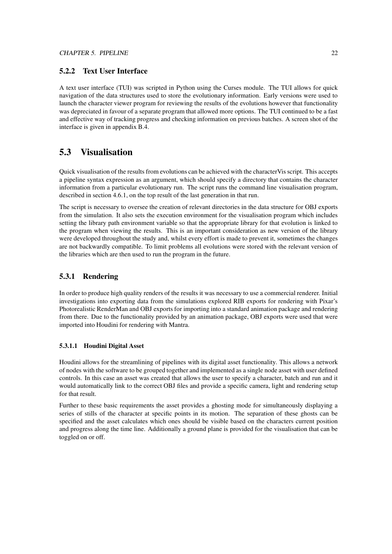#### **5.2.2 Text User Interface**

A text user interface (TUI) was scripted in Python using the Curses module. The TUI allows for quick navigation of the data structures used to store the evolutionary information. Early versions were used to launch the character viewer program for reviewing the results of the evolutions however that functionality was depreciated in favour of a separate program that allowed more options. The TUI continued to be a fast and effective way of tracking progress and checking information on previous batches. A screen shot of the interface is given in appendix B.4.

### **5.3 Visualisation**

Quick visualisation of the results from evolutions can be achieved with the characterVis script. This accepts a pipeline syntax expression as an argument, which should specify a directory that contains the character information from a particular evolutionary run. The script runs the command line visualisation program, described in section 4.6.1, on the top result of the last generation in that run.

The script is necessary to oversee the creation of relevant directories in the data structure for OBJ exports from the simulation. It also sets the execution environment for the visualisation program which includes setting the library path environment variable so that the appropriate library for that evolution is linked to the program when viewing the results. This is an important consideration as new version of the library were developed throughout the study and, whilst every effort is made to prevent it, sometimes the changes are not backwardly compatible. To limit problems all evolutions were stored with the relevant version of the libraries which are then used to run the program in the future.

### **5.3.1 Rendering**

In order to produce high quality renders of the results it was necessary to use a commercial renderer. Initial investigations into exporting data from the simulations explored RIB exports for rendering with Pixar's Photorealistic RenderMan and OBJ exports for importing into a standard animation package and rendering from there. Due to the functionality provided by an animation package, OBJ exports were used that were imported into Houdini for rendering with Mantra.

#### **5.3.1.1 Houdini Digital Asset**

Houdini allows for the streamlining of pipelines with its digital asset functionality. This allows a network of nodes with the software to be grouped together and implemented as a single node asset with user defined controls. In this case an asset was created that allows the user to specify a character, batch and run and it would automatically link to the correct OBJ files and provide a specific camera, light and rendering setup for that result.

Further to these basic requirements the asset provides a ghosting mode for simultaneously displaying a series of stills of the character at specific points in its motion. The separation of these ghosts can be specified and the asset calculates which ones should be visible based on the characters current position and progress along the time line. Additionally a ground plane is provided for the visualisation that can be toggled on or off.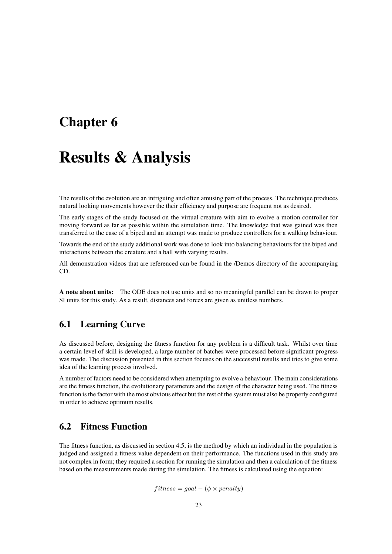## **Chapter 6**

## **Results & Analysis**

The results of the evolution are an intriguing and often amusing part of the process. The technique produces natural looking movements however the their efficiency and purpose are frequent not as desired.

The early stages of the study focused on the virtual creature with aim to evolve a motion controller for moving forward as far as possible within the simulation time. The knowledge that was gained was then transferred to the case of a biped and an attempt was made to produce controllers for a walking behaviour.

Towards the end of the study additional work was done to look into balancing behaviours for the biped and interactions between the creature and a ball with varying results.

All demonstration videos that are referenced can be found in the /Demos directory of the accompanying CD.

**A note about units:** The ODE does not use units and so no meaningful parallel can be drawn to proper SI units for this study. As a result, distances and forces are given as unitless numbers.

### **6.1 Learning Curve**

As discussed before, designing the fitness function for any problem is a difficult task. Whilst over time a certain level of skill is developed, a large number of batches were processed before significant progress was made. The discussion presented in this section focuses on the successful results and tries to give some idea of the learning process involved.

A number of factors need to be considered when attempting to evolve a behaviour. The main considerations are the fitness function, the evolutionary parameters and the design of the character being used. The fitness function is the factor with the most obvious effect but the rest of the system must also be properly configured in order to achieve optimum results.

## **6.2 Fitness Function**

The fitness function, as discussed in section 4.5, is the method by which an individual in the population is judged and assigned a fitness value dependent on their performance. The functions used in this study are not complex in form; they required a section for running the simulation and then a calculation of the fitness based on the measurements made during the simulation. The fitness is calculated using the equation:

 $fitness = goal - (\phi \times penalty)$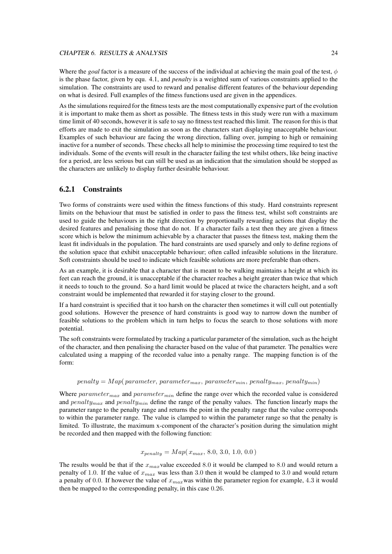#### CHAPTER 6. RESULTS & ANALYSIS 24

Where the *goal* factor is a measure of the success of the individual at achieving the main goal of the test,  $\phi$ is the phase factor, given by equ. 4.1, and *penalty* is a weighted sum of various constraints applied to the simulation. The constraints are used to reward and penalise different features of the behaviour depending on what is desired. Full examples of the fitness functions used are given in the appendices.

As the simulations required for the fitness tests are the most computationally expensive part of the evolution it is important to make them as short as possible. The fitness tests in this study were run with a maximum time limit of 40 seconds, however it is safe to say no fitness test reached this limit. The reason for this is that efforts are made to exit the simulation as soon as the characters start displaying unacceptable behaviour. Examples of such behaviour are facing the wrong direction, falling over, jumping to high or remaining inactive for a number of seconds. These checks all help to minimise the processing time required to test the individuals. Some of the events will result in the character failing the test whilst others, like being inactive for a period, are less serious but can still be used as an indication that the simulation should be stopped as the characters are unlikely to display further desirable behaviour.

#### **6.2.1 Constraints**

Two forms of constraints were used within the fitness functions of this study. Hard constraints represent limits on the behaviour that must be satisfied in order to pass the fitness test, whilst soft constraints are used to guide the behaviours in the right direction by proportionally rewarding actions that display the desired features and penalising those that do not. If a character fails a test then they are given a fitness score which is below the minimum achievable by a character that passes the fitness test, making them the least fit individuals in the population. The hard constraints are used sparsely and only to define regions of the solution space that exhibit unacceptable behaviour; often called infeasible solutions in the literature. Soft constraints should be used to indicate which feasible solutions are more preferable than others.

As an example, it is desirable that a character that is meant to be walking maintains a height at which its feet can reach the ground, it is unacceptable if the character reaches a height greater than twice that which it needs to touch to the ground. So a hard limit would be placed at twice the characters height, and a soft constraint would be implemented that rewarded it for staying closer to the ground.

If a hard constraint is specified that it too harsh on the character then sometimes it will cull out potentially good solutions. However the presence of hard constraints is good way to narrow down the number of feasible solutions to the problem which in turn helps to focus the search to those solutions with more potential.

The soft constraints were formulated by tracking a particular parameter of the simulation, such as the height of the character, and then penalising the character based on the value of that parameter. The penalties were calculated using a mapping of the recorded value into a penalty range. The mapping function is of the form:

#### $penalty = Map(parameter, parameter_{max}, parameter_{min}, parameter_{min}, penalty_{max}, penalty_{min})$

Where  $parameter_{max}$  and  $parameter_{min}$  define the range over which the recorded value is considered and  $penalty_{max}$  and  $penalty_{min}$  define the range of the penalty values. The function linearly maps the parameter range to the penalty range and returns the point in the penalty range that the value corresponds to within the parameter range. The value is clamped to within the parameter range so that the penalty is limited. To illustrate, the maximum x-component of the character's position during the simulation might be recorded and then mapped with the following function:

$$
x_{penalty} = Map(x_{max}, 8.0, 3.0, 1.0, 0.0)
$$

The results would be that if the  $x_{max}$ value exceeded 8.0 it would be clamped to 8.0 and would return a penalty of 1.0. If the value of  $x_{max}$  was less than 3.0 then it would be clamped to 3.0 and would return a penalty of 0.0. If however the value of  $x_{max}$  was within the parameter region for example, 4.3 it would then be mapped to the corresponding penalty, in this case 0.26.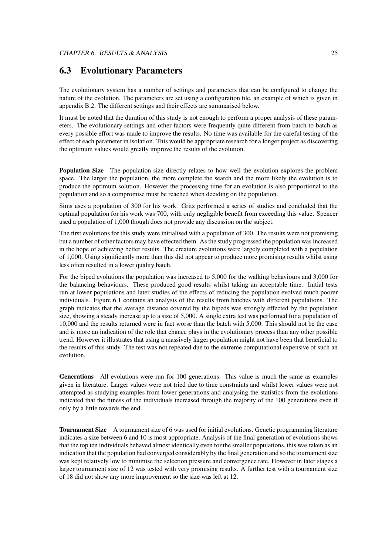## **6.3 Evolutionary Parameters**

The evolutionary system has a number of settings and parameters that can be configured to change the nature of the evolution. The parameters are set using a configuration file, an example of which is given in appendix B.2. The different settings and their effects are summarised below.

It must be noted that the duration of this study is not enough to perform a proper analysis of these parameters. The evolutionary settings and other factors were frequently quite different from batch to batch as every possible effort was made to improve the results. No time was available for the careful testing of the effect of each parameter in isolation. This would be appropriate research for a longer project as discovering the optimum values would greatly improve the results of the evolution.

**Population Size** The population size directly relates to how well the evolution explores the problem space. The larger the population, the more complete the search and the more likely the evolution is to produce the optimum solution. However the processing time for an evolution is also proportional to the population and so a compromise must be reached when deciding on the population.

Sims uses a population of 300 for his work. Gritz performed a series of studies and concluded that the optimal population for his work was 700, with only negligible benefit from exceeding this value. Spencer used a population of 1,000 though does not provide any discussion on the subject.

The first evolutions for this study were initialised with a population of 300. The results were not promising but a number of other factors may have effected them. As the study progressed the population was increased in the hope of achieving better results. The creature evolutions were largely completed with a population of 1,000. Using significantly more than this did not appear to produce more promising results whilst using less often resulted in a lower quality batch.

For the biped evolutions the population was increased to 5,000 for the walking behaviours and 3,000 for the balancing behaviours. These produced good results whilst taking an acceptable time. Initial tests run at lower populations and later studies of the effects of reducing the population evolved much poorer individuals. Figure 6.1 contains an analysis of the results from batches with different populations. The graph indicates that the average distance covered by the bipeds was strongly effected by the population size, showing a steady increase up to a size of 5,000. A single extra test was performed for a population of 10,000 and the results returned were in fact worse than the batch with 5,000. This should not be the case and is more an indication of the role that chance plays in the evolutionary process than any other possible trend. However it illustrates that using a massively larger population might not have been that beneficial to the results of this study. The test was not repeated due to the extreme computational expensive of such an evolution.

**Generations** All evolutions were run for 100 generations. This value is much the same as examples given in literature. Larger values were not tried due to time constraints and whilst lower values were not attempted as studying examples from lower generations and analysing the statistics from the evolutions indicated that the fitness of the individuals increased through the majority of the 100 generations even if only by a little towards the end.

**Tournament Size** A tournament size of 6 was used for initial evolutions. Genetic programming literature indicates a size between 6 and 10 is most appropriate. Analysis of the final generation of evolutions shows that the top ten individuals behaved almost identically even for the smaller populations, this was taken as an indication that the population had converged considerably by the final generation and so the tournament size was kept relatively low to minimise the selection pressure and convergence rate. However in later stages a larger tournament size of 12 was tested with very promising results. A further test with a tournament size of 18 did not show any more improvement so the size was left at 12.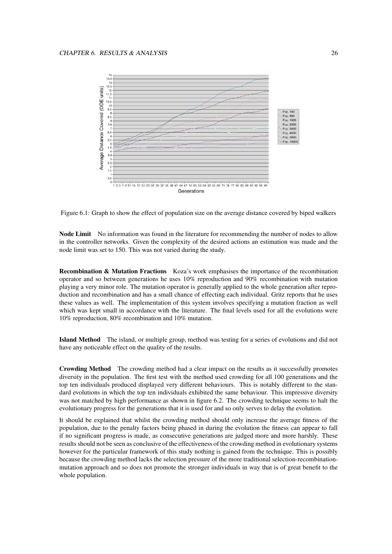

Figure 6.1: Graph to show the effect of population size on the average distance covered by biped walkers

**Node Limit** No information was found in the literature for recommending the number of nodes to allow in the controller networks. Given the complexity of the desired actions an estimation was made and the node limit was set to 150. This was not varied during the study.

**Recombination & Mutation Fractions** Koza's work emphasises the importance of the recombination operator and so between generations he uses 10% reproduction and 90% recombination with mutation playing a very minor role. The mutation operator is generally applied to the whole generation after reproduction and recombination and has a small chance of effecting each individual. Gritz reports that he uses these values as well. The implementation of this system involves specifying a mutation fraction as well which was kept small in accordance with the literature. The final levels used for all the evolutions were 10% reproduction, 80% recombination and 10% mutation.

**Island Method** The island, or multiple group, method was testing for a series of evolutions and did not have any noticeable effect on the quality of the results.

**Crowding Method** The crowding method had a clear impact on the results as it successfully promotes diversity in the population. The first test with the method used crowding for all 100 generations and the top ten individuals produced displayed very different behaviours. This is notably different to the standard evolutions in which the top ten individuals exhibited the same behaviour. This impressive diversity was not matched by high performance as shown in figure 6.2. The crowding technique seems to halt the evolutionary progress for the generations that it is used for and so only serves to delay the evolution.

It should be explained that whilst the crowding method should only increase the average fitness of the population, due to the penalty factors being phased in during the evolution the fitness can appear to fall if no significant progress is made, as consecutive generations are judged more and more harshly. These results should not be seen as conclusive of the effectiveness of the crowding method in evolutionary systems however for the particular framework of this study nothing is gained from the technique. This is possibly because the crowding method lacks the selection pressure of the more traditional selection-recombinationmutation approach and so does not promote the stronger individuals in way that is of great benefit to the whole population.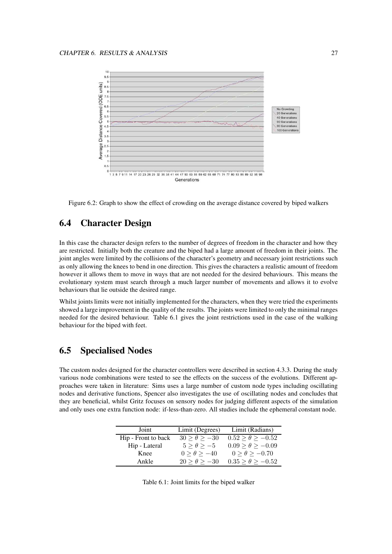

Figure 6.2: Graph to show the effect of crowding on the average distance covered by biped walkers

## **6.4 Character Design**

In this case the character design refers to the number of degrees of freedom in the character and how they are restricted. Initially both the creature and the biped had a large amount of freedom in their joints. The joint angles were limited by the collisions of the character's geometry and necessary joint restrictions such as only allowing the knees to bend in one direction. This gives the characters a realistic amount of freedom however it allows them to move in ways that are not needed for the desired behaviours. This means the evolutionary system must search through a much larger number of movements and allows it to evolve behaviours that lie outside the desired range.

Whilst joints limits were not initially implemented for the characters, when they were tried the experiments showed a large improvement in the quality of the results. The joints were limited to only the minimal ranges needed for the desired behaviour. Table 6.1 gives the joint restrictions used in the case of the walking behaviour for the biped with feet.

## **6.5 Specialised Nodes**

The custom nodes designed for the character controllers were described in section 4.3.3. During the study various node combinations were tested to see the effects on the success of the evolutions. Different approaches were taken in literature: Sims uses a large number of custom node types including oscillating nodes and derivative functions, Spencer also investigates the use of oscillating nodes and concludes that they are beneficial, whilst Gritz focuses on sensory nodes for judging different aspects of the simulation and only uses one extra function node: if-less-than-zero. All studies include the ephemeral constant node.

| Joint               | Limit (Degrees)     | Limit (Radians)         |
|---------------------|---------------------|-------------------------|
| Hip - Front to back | $30 > \theta > -30$ | $0.52 > \theta > -0.52$ |
| Hip - Lateral       | $5 > \theta > -5$   | $0.09 > \theta > -0.09$ |
| Knee                | $0 > \theta > -40$  | $0 > \theta > -0.70$    |
| Ankle               | $20 > \theta > -30$ | $0.35 > \theta > -0.52$ |

| Table 6.1: Joint limits for the biped walker |  |  |  |  |  |  |
|----------------------------------------------|--|--|--|--|--|--|
|----------------------------------------------|--|--|--|--|--|--|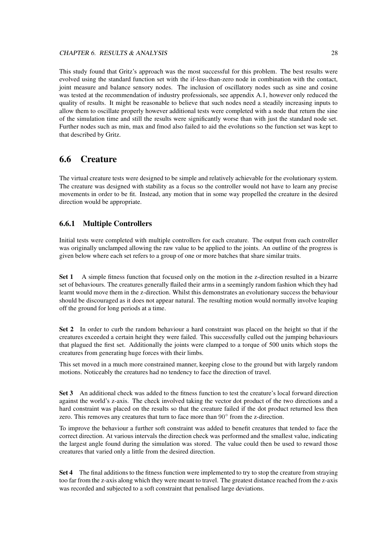#### CHAPTER 6. RESULTS & ANALYSIS 28

This study found that Gritz's approach was the most successful for this problem. The best results were evolved using the standard function set with the if-less-than-zero node in combination with the contact, joint measure and balance sensory nodes. The inclusion of oscillatory nodes such as sine and cosine was tested at the recommendation of industry professionals, see appendix A.1, however only reduced the quality of results. It might be reasonable to believe that such nodes need a steadily increasing inputs to allow them to oscillate properly however additional tests were completed with a node that return the sine of the simulation time and still the results were significantly worse than with just the standard node set. Further nodes such as min, max and fmod also failed to aid the evolutions so the function set was kept to that described by Gritz.

### **6.6 Creature**

The virtual creature tests were designed to be simple and relatively achievable for the evolutionary system. The creature was designed with stability as a focus so the controller would not have to learn any precise movements in order to be fit. Instead, any motion that in some way propelled the creature in the desired direction would be appropriate.

#### **6.6.1 Multiple Controllers**

Initial tests were completed with multiple controllers for each creature. The output from each controller was originally unclamped allowing the raw value to be applied to the joints. An outline of the progress is given below where each set refers to a group of one or more batches that share similar traits.

**Set 1** A simple fitness function that focused only on the motion in the z-direction resulted in a bizarre set of behaviours. The creatures generally flailed their arms in a seemingly random fashion which they had learnt would move them in the z-direction. Whilst this demonstrates an evolutionary success the behaviour should be discouraged as it does not appear natural. The resulting motion would normally involve leaping off the ground for long periods at a time.

**Set 2** In order to curb the random behaviour a hard constraint was placed on the height so that if the creatures exceeded a certain height they were failed. This successfully culled out the jumping behaviours that plagued the first set. Additionally the joints were clamped to a torque of 500 units which stops the creatures from generating huge forces with their limbs.

This set moved in a much more constrained manner, keeping close to the ground but with largely random motions. Noticeably the creatures had no tendency to face the direction of travel.

**Set 3** An additional check was added to the fitness function to test the creature's local forward direction against the world's z-axis. The check involved taking the vector dot product of the two directions and a hard constraint was placed on the results so that the creature failed if the dot product returned less then zero. This removes any creatures that turn to face more than 90° from the z-direction.

To improve the behaviour a further soft constraint was added to benefit creatures that tended to face the correct direction. At various intervals the direction check was performed and the smallest value, indicating the largest angle found during the simulation was stored. The value could then be used to reward those creatures that varied only a little from the desired direction.

**Set 4** The final additions to the fitness function were implemented to try to stop the creature from straying too far from the z-axis along which they were meant to travel. The greatest distance reached from the z-axis was recorded and subjected to a soft constraint that penalised large deviations.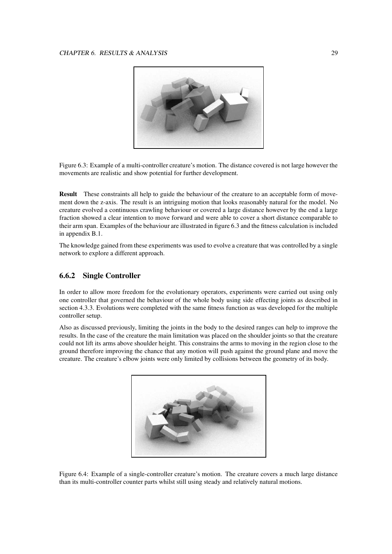

Figure 6.3: Example of a multi-controller creature's motion. The distance covered is not large however the movements are realistic and show potential for further development.

**Result** These constraints all help to guide the behaviour of the creature to an acceptable form of movement down the z-axis. The result is an intriguing motion that looks reasonably natural for the model. No creature evolved a continuous crawling behaviour or covered a large distance however by the end a large fraction showed a clear intention to move forward and were able to cover a short distance comparable to their arm span. Examples of the behaviour are illustrated in figure 6.3 and the fitness calculation is included in appendix B.1.

The knowledge gained from these experiments was used to evolve a creature that was controlled by a single network to explore a different approach.

#### **6.6.2 Single Controller**

In order to allow more freedom for the evolutionary operators, experiments were carried out using only one controller that governed the behaviour of the whole body using side effecting joints as described in section 4.3.3. Evolutions were completed with the same fitness function as was developed for the multiple controller setup.

Also as discussed previously, limiting the joints in the body to the desired ranges can help to improve the results. In the case of the creature the main limitation was placed on the shoulder joints so that the creature could not lift its arms above shoulder height. This constrains the arms to moving in the region close to the ground therefore improving the chance that any motion will push against the ground plane and move the creature. The creature's elbow joints were only limited by collisions between the geometry of its body.



Figure 6.4: Example of a single-controller creature's motion. The creature covers a much large distance than its multi-controller counter parts whilst still using steady and relatively natural motions.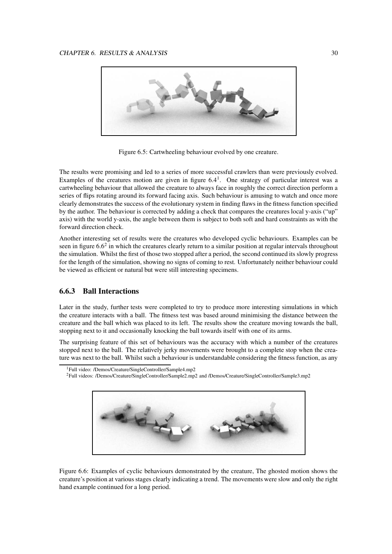

Figure 6.5: Cartwheeling behaviour evolved by one creature.

The results were promising and led to a series of more successful crawlers than were previously evolved. Examples of the creatures motion are given in figure  $6.4<sup>1</sup>$ . One strategy of particular interest was a cartwheeling behaviour that allowed the creature to always face in roughly the correct direction perform a series of flips rotating around its forward facing axis. Such behaviour is amusing to watch and once more clearly demonstrates the success of the evolutionary system in finding flaws in the fitness function specified by the author. The behaviour is corrected by adding a check that compares the creatures local y-axis ("up" axis) with the world y-axis, the angle between them is subject to both soft and hard constraints as with the forward direction check.

Another interesting set of results were the creatures who developed cyclic behaviours. Examples can be seen in figure  $6.6<sup>2</sup>$  in which the creatures clearly return to a similar position at regular intervals throughout the simulation. Whilst the first of those two stopped after a period, the second continued its slowly progress for the length of the simulation, showing no signs of coming to rest. Unfortunately neither behaviour could be viewed as efficient or natural but were still interesting specimens.

#### **6.6.3 Ball Interactions**

Later in the study, further tests were completed to try to produce more interesting simulations in which the creature interacts with a ball. The fitness test was based around minimising the distance between the creature and the ball which was placed to its left. The results show the creature moving towards the ball, stopping next to it and occasionally knocking the ball towards itself with one of its arms.

The surprising feature of this set of behaviours was the accuracy with which a number of the creatures stopped next to the ball. The relatively jerky movements were brought to a complete stop when the creature was next to the ball. Whilst such a behaviour is understandable considering the fitness function, as any

<sup>2</sup>Full videos: /Demos/Creature/SingleController/Sample2.mp2 and /Demos/Creature/SingleController/Sample3.mp2



Figure 6.6: Examples of cyclic behaviours demonstrated by the creature, The ghosted motion shows the creature's position at various stages clearly indicating a trend. The movements were slow and only the right hand example continued for a long period.

<sup>1</sup>Full video: /Demos/Creature/SingleController/Sample4.mp2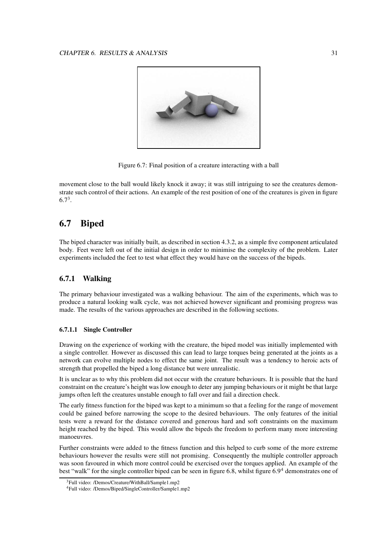

Figure 6.7: Final position of a creature interacting with a ball

movement close to the ball would likely knock it away; it was still intriguing to see the creatures demonstrate such control of their actions. An example of the rest position of one of the creatures is given in figure  $6.7^3$ .

## **6.7 Biped**

The biped character was initially built, as described in section 4.3.2, as a simple five component articulated body. Feet were left out of the initial design in order to minimise the complexity of the problem. Later experiments included the feet to test what effect they would have on the success of the bipeds.

#### **6.7.1 Walking**

The primary behaviour investigated was a walking behaviour. The aim of the experiments, which was to produce a natural looking walk cycle, was not achieved however significant and promising progress was made. The results of the various approaches are described in the following sections.

#### **6.7.1.1 Single Controller**

Drawing on the experience of working with the creature, the biped model was initially implemented with a single controller. However as discussed this can lead to large torques being generated at the joints as a network can evolve multiple nodes to effect the same joint. The result was a tendency to heroic acts of strength that propelled the biped a long distance but were unrealistic.

It is unclear as to why this problem did not occur with the creature behaviours. It is possible that the hard constraint on the creature's height was low enough to deter any jumping behaviours or it might be that large jumps often left the creatures unstable enough to fall over and fail a direction check.

The early fitness function for the biped was kept to a minimum so that a feeling for the range of movement could be gained before narrowing the scope to the desired behaviours. The only features of the initial tests were a reward for the distance covered and generous hard and soft constraints on the maximum height reached by the biped. This would allow the bipeds the freedom to perform many more interesting manoeuvres.

Further constraints were added to the fitness function and this helped to curb some of the more extreme behaviours however the results were still not promising. Consequently the multiple controller approach was soon favoured in which more control could be exercised over the torques applied. An example of the best "walk" for the single controller biped can be seen in figure 6.8, whilst figure 6.9<sup>4</sup> demonstrates one of

<sup>3</sup>Full video: /Demos/Creature/WithBall/Sample1.mp2

<sup>4</sup>Full video: /Demos/Biped/SingleController/Sample1.mp2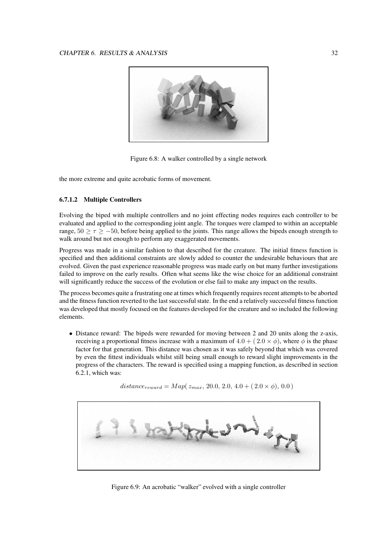

Figure 6.8: A walker controlled by a single network

the more extreme and quite acrobatic forms of movement.

#### **6.7.1.2 Multiple Controllers**

Evolving the biped with multiple controllers and no joint effecting nodes requires each controller to be evaluated and applied to the corresponding joint angle. The torques were clamped to within an acceptable range,  $50 \ge \tau \ge -50$ , before being applied to the joints. This range allows the bipeds enough strength to walk around but not enough to perform any exaggerated movements.

Progress was made in a similar fashion to that described for the creature. The initial fitness function is specified and then additional constraints are slowly added to counter the undesirable behaviours that are evolved. Given the past experience reasonable progress was made early on but many further investigations failed to improve on the early results. Often what seems like the wise choice for an additional constraint will significantly reduce the success of the evolution or else fail to make any impact on the results.

The process becomes quite a frustrating one at times which frequently requires recent attempts to be aborted and the fitness function reverted to the last successfulstate. In the end a relatively successful fitness function was developed that mostly focused on the features developed for the creature and so included the following elements.

• Distance reward: The bipeds were rewarded for moving between 2 and 20 units along the z-axis, receiving a proportional fitness increase with a maximum of  $4.0 + (2.0 \times \phi)$ , where  $\phi$  is the phase factor for that generation. This distance was chosen as it was safely beyond that which was covered by even the fittest individuals whilst still being small enough to reward slight improvements in the progress of the characters. The reward is specified using a mapping function, as described in section 6.2.1, which was:



 $distance_{reward} = Map(z_{max}, 20.0, 2.0, 4.0 + (2.0 \times \phi), 0.0)$ 

Figure 6.9: An acrobatic "walker" evolved with a single controller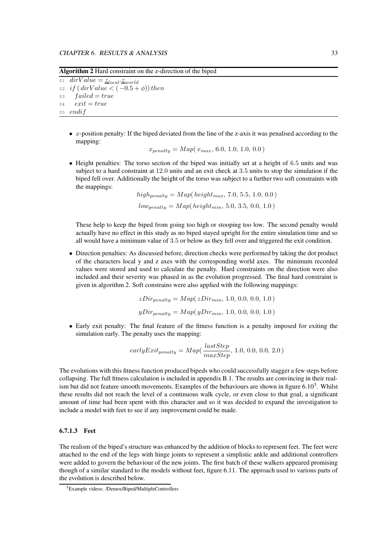**Algorithm 2** Hard constraint on the z-direction of the biped

01  $\overline{divValue} = \underline{z}_{local}.\underline{z}_{world}$ 02 if  $\left($  dirValue  $\lt$   $(-0.5 + \phi)$ ) then  $03$  failed = true  $04$   $exit = true$ 05 endif

 $\bullet$  *x*-position penalty: If the biped deviated from the line of the *z*-axis it was penalised according to the mapping:

$$
x_{penalty} = Map(x_{max}, 6.0, 1.0, 1.0, 0.0)
$$

• Height penalties: The torso section of the biped was initially set at a height of 6.5 units and was subject to a hard constraint at 12.0 units and an exit check at 3.5 units to stop the simulation if the biped fell over. Additionally the height of the torso was subject to a further two soft constraints with the mappings:

 $high_{penalty} = Map(height_{max}, 7.0, 5.5, 1.0, 0.0)$  $low_{penalty} = Map(height_{min}, 5.0, 3.5, 0.0, 1.0)$ 

These help to keep the biped from going too high or stooping too low. The second penalty would actually have no effect in this study as no biped stayed upright for the entire simulation time and so all would have a minimum value of 3.5 or below as they fell over and triggered the exit condition.

• Direction penalties: As discussed before, direction checks were performed by taking the dot product of the characters local y and z axes with the corresponding world axes. The minimum recorded values were stored and used to calculate the penalty. Hard constraints on the direction were also included and their severity was phased in as the evolution progressed. The final hard constraint is given in algorithm 2. Soft constrains were also applied with the following mappings:

$$
zDir_{penalty} = Map(zDir_{min}, 1.0, 0.0, 0.0, 1.0)
$$
  

$$
yDir_{penalty} = Map(yDir_{min}, 1.0, 0.0, 0.0, 1.0)
$$

• Early exit penalty: The final feature of the fitness function is a penalty imposed for exiting the simulation early. The penalty uses the mapping:

$$
earlyExit_{penalty} = Map(\frac{lastStep}{maxStep}, 1.0, 0.0, 0.0, 2.0)
$$

The evolutions with this fitness function produced bipeds who could successfully stagger a few steps before collapsing. The full fitness calculation is included in appendix B.1. The results are convincing in their realism but did not feature smooth movements. Examples of the behaviours are shown in figure  $6.10<sup>5</sup>$ . Whilst these results did not reach the level of a continuous walk cycle, or even close to that goal, a significant amount of time had been spent with this character and so it was decided to expand the investigation to include a model with feet to see if any improvement could be made.

#### **6.7.1.3 Feet**

The realism of the biped's structure was enhanced by the addition of blocks to represent feet. The feet were attached to the end of the legs with hinge joints to represent a simplistic ankle and additional controllers were added to govern the behaviour of the new joints. The first batch of these walkers appeared promising though of a similar standard to the models without feet, figure 6.11. The approach used to various parts of the evolution is described below.

<sup>5</sup>Example videos: /Demos/Biped/MultipleControllers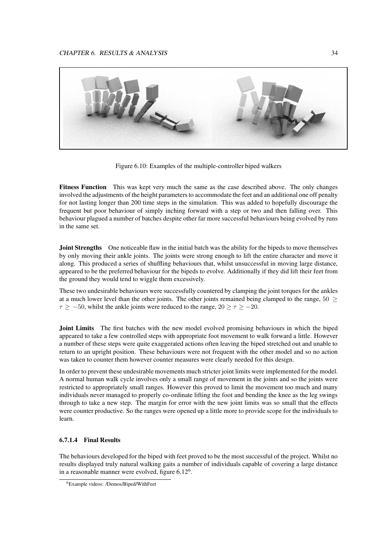

Figure 6.10: Examples of the multiple-controller biped walkers

**Fitness Function** This was kept very much the same as the case described above. The only changes involved the adjustments of the height parameters to accommodate the feet and an additional one off penalty for not lasting longer than 200 time steps in the simulation. This was added to hopefully discourage the frequent but poor behaviour of simply inching forward with a step or two and then falling over. This behaviour plagued a number of batches despite other far more successful behaviours being evolved by runs in the same set.

**Joint Strengths** One noticeable flaw in the initial batch was the ability for the bipeds to move themselves by only moving their ankle joints. The joints were strong enough to lift the entire character and move it along. This produced a series of shuffling behaviours that, whilst unsuccessful in moving large distance, appeared to be the preferred behaviour for the bipeds to evolve. Additionally if they did lift their feet from the ground they would tend to wiggle them excessively.

These two undesirable behaviours were successfully countered by clamping the joint torques for the ankles at a much lower level than the other joints. The other joints remained being clamped to the range,  $50$  >  $\tau \ge -50$ , whilst the ankle joints were reduced to the range,  $20 \ge \tau \ge -20$ .

**Joint Limits** The first batches with the new model evolved promising behaviours in which the biped appeared to take a few controlled steps with appropriate foot movement to walk forward a little. However a number of these steps were quite exaggerated actions often leaving the biped stretched out and unable to return to an upright position. These behaviours were not frequent with the other model and so no action was taken to counter them however counter measures were clearly needed for this design.

In order to prevent these undesirable movements much stricter joint limits were implemented for the model. A normal human walk cycle involves only a small range of movement in the joints and so the joints were restricted to appropriately small ranges. However this proved to limit the movement too much and many individuals never managed to properly co-ordinate lifting the foot and bending the knee as the leg swings through to take a new step. The margin for error with the new joint limits was so small that the effects were counter productive. So the ranges were opened up a little more to provide scope for the individuals to learn.

#### **6.7.1.4 Final Results**

The behaviours developed for the biped with feet proved to be the most successful of the project. Whilst no results displayed truly natural walking gaits a number of individuals capable of covering a large distance in a reasonable manner were evolved, figure 6.12<sup>6</sup>.

<sup>6</sup>Example videos: /Demos/Biped/WithFeet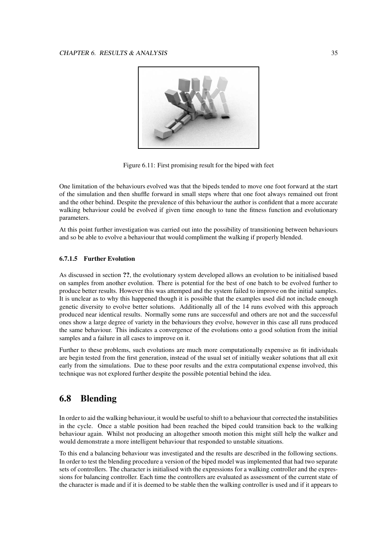

Figure 6.11: First promising result for the biped with feet

One limitation of the behaviours evolved was that the bipeds tended to move one foot forward at the start of the simulation and then shuffle forward in small steps where that one foot always remained out front and the other behind. Despite the prevalence of this behaviour the author is confident that a more accurate walking behaviour could be evolved if given time enough to tune the fitness function and evolutionary parameters.

At this point further investigation was carried out into the possibility of transitioning between behaviours and so be able to evolve a behaviour that would compliment the walking if properly blended.

#### **6.7.1.5 Further Evolution**

As discussed in section **??**, the evolutionary system developed allows an evolution to be initialised based on samples from another evolution. There is potential for the best of one batch to be evolved further to produce better results. However this was attemped and the system failed to improve on the initial samples. It is unclear as to why this happened though it is possible that the examples used did not include enough genetic diversity to evolve better solutions. Additionally all of the 14 runs evolved with this approach produced near identical results. Normally some runs are successful and others are not and the successful ones show a large degree of variety in the behaviours they evolve, however in this case all runs produced the same behaviour. This indicates a convergence of the evolutions onto a good solution from the initial samples and a failure in all cases to improve on it.

Further to these problems, such evolutions are much more computationally expensive as fit individuals are begin tested from the first generation, instead of the usual set of initially weaker solutions that all exit early from the simulations. Due to these poor results and the extra computational expense involved, this technique was not explored further despite the possible potential behind the idea.

## **6.8 Blending**

In order to aid the walking behaviour, it would be useful to shift to a behaviour that corrected the instabilities in the cycle. Once a stable position had been reached the biped could transition back to the walking behaviour again. Whilst not producing an altogether smooth motion this might still help the walker and would demonstrate a more intelligent behaviour that responded to unstable situations.

To this end a balancing behaviour was investigated and the results are described in the following sections. In order to test the blending procedure a version of the biped model was implemented that had two separate sets of controllers. The character is initialised with the expressions for a walking controller and the expressions for balancing controller. Each time the controllers are evaluated as assessment of the current state of the character is made and if it is deemed to be stable then the walking controller is used and if it appears to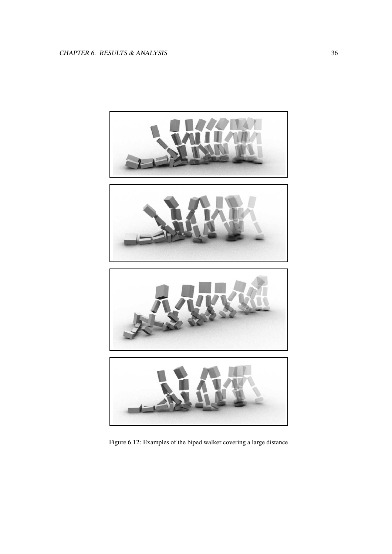

Figure 6.12: Examples of the biped walker covering a large distance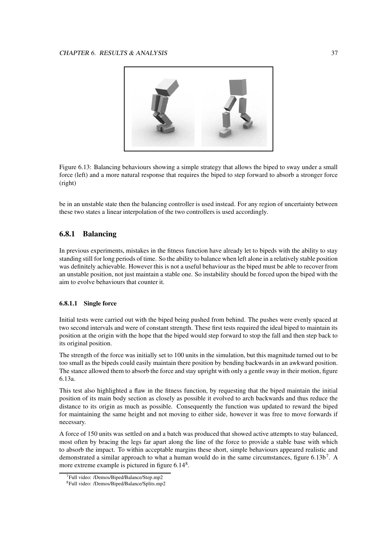

Figure 6.13: Balancing behaviours showing a simple strategy that allows the biped to sway under a small force (left) and a more natural response that requires the biped to step forward to absorb a stronger force (right)

be in an unstable state then the balancing controller is used instead. For any region of uncertainty between these two states a linear interpolation of the two controllers is used accordingly.

#### **6.8.1 Balancing**

In previous experiments, mistakes in the fitness function have already let to bipeds with the ability to stay standing still for long periods of time. So the ability to balance when left alone in a relatively stable position was definitely achievable. However this is not a useful behaviour as the biped must be able to recover from an unstable position, not just maintain a stable one. So instability should be forced upon the biped with the aim to evolve behaviours that counter it.

#### **6.8.1.1 Single force**

Initial tests were carried out with the biped being pushed from behind. The pushes were evenly spaced at two second intervals and were of constant strength. These first tests required the ideal biped to maintain its position at the origin with the hope that the biped would step forward to stop the fall and then step back to its original position.

The strength of the force was initially set to 100 units in the simulation, but this magnitude turned out to be too small as the bipeds could easily maintain there position by bending backwards in an awkward position. The stance allowed them to absorb the force and stay upright with only a gentle sway in their motion, figure 6.13a.

This test also highlighted a flaw in the fitness function, by requesting that the biped maintain the initial position of its main body section as closely as possible it evolved to arch backwards and thus reduce the distance to its origin as much as possible. Consequently the function was updated to reward the biped for maintaining the same height and not moving to either side, however it was free to move forwards if necessary.

A force of 150 units was settled on and a batch was produced that showed active attempts to stay balanced, most often by bracing the legs far apart along the line of the force to provide a stable base with which to absorb the impact. To within acceptable margins these short, simple behaviours appeared realistic and demonstrated a similar approach to what a human would do in the same circumstances, figure 6.13b<sup>7</sup>. A more extreme example is pictured in figure  $6.14^8$ .

<sup>7</sup>Full video: /Demos/Biped/Balance/Step.mp2

<sup>8</sup>Full video: /Demos/Biped/Balance/Splits.mp2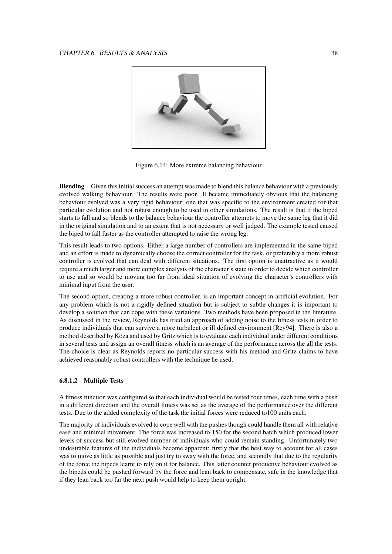

Figure 6.14: More extreme balancing behaviour

**Blending** Given this initial success an attempt was made to blend this balance behaviour with a previously evolved walking behaviour. The results were poor. It became immediately obvious that the balancing behaviour evolved was a very rigid behaviour; one that was specific to the environment created for that particular evolution and not robust enough to be used in other simulations. The result is that if the biped starts to fall and so blends to the balance behaviour the controller attempts to move the same leg that it did in the original simulation and to an extent that is not necessary or well judged. The example tested caused the biped to fall faster as the controller attempted to raise the wrong leg.

This result leads to two options. Either a large number of controllers are implemented in the same biped and an effort is made to dynamically choose the correct controller for the task, or preferably a more robust controller is evolved that can deal with different situations. The first option is unattractive as it would require a much larger and more complex analysis of the character's state in order to decide which controller to use and so would be moving too far from ideal situation of evolving the character's controllers with minimal input from the user.

The second option, creating a more robust controller, is an important concept in artificial evolution. For any problem which is not a rigidly defined situation but is subject to subtle changes it is important to develop a solution that can cope with these variations. Two methods have been proposed in the literature. As discussed in the review, Reynolds has tried an approach of adding noise to the fitness tests in order to produce individuals that can survive a more turbulent or ill defined environment [Rey94]. There is also a method described by Koza and used by Gritz which is to evaluate each individual under different conditions in several tests and assign an overall fitness which is an average of the performance across the all the tests. The choice is clear as Reynolds reports no particular success with his method and Gritz claims to have achieved reasonably robust controllers with the technique he used.

#### **6.8.1.2 Multiple Tests**

A fitness function was configured so that each individual would be tested four times, each time with a push in a different direction and the overall fitness was set as the average of the performance over the different tests. Due to the added complexity of the task the initial forces were reduced to100 units each.

The majority of individuals evolved to cope well with the pushes though could handle them all with relative ease and minimal movement. The force was increased to 150 for the second batch which produced lower levels of success but still evolved number of individuals who could remain standing. Unfortunately two undesirable features of the individuals become apparent: firstly that the best way to account for all cases was to move as little as possible and just try to sway with the force, and secondly that due to the regularity of the force the bipeds learnt to rely on it for balance. This latter counter productive behaviour evolved as the bipeds could be pushed forward by the force and lean back to compensate, safe in the knowledge that if they lean back too far the next push would help to keep them upright.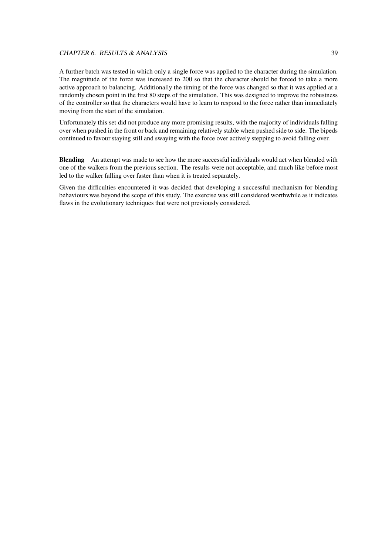#### CHAPTER 6. RESULTS & ANALYSIS 39

A further batch was tested in which only a single force was applied to the character during the simulation. The magnitude of the force was increased to 200 so that the character should be forced to take a more active approach to balancing. Additionally the timing of the force was changed so that it was applied at a randomly chosen point in the first 80 steps of the simulation. This was designed to improve the robustness of the controller so that the characters would have to learn to respond to the force rather than immediately moving from the start of the simulation.

Unfortunately this set did not produce any more promising results, with the majority of individuals falling over when pushed in the front or back and remaining relatively stable when pushed side to side. The bipeds continued to favour staying still and swaying with the force over actively stepping to avoid falling over.

**Blending** An attempt was made to see how the more successful individuals would act when blended with one of the walkers from the previous section. The results were not acceptable, and much like before most led to the walker falling over faster than when it is treated separately.

Given the difficulties encountered it was decided that developing a successful mechanism for blending behaviours was beyond the scope of this study. The exercise was still considered worthwhile as it indicates flaws in the evolutionary techniques that were not previously considered.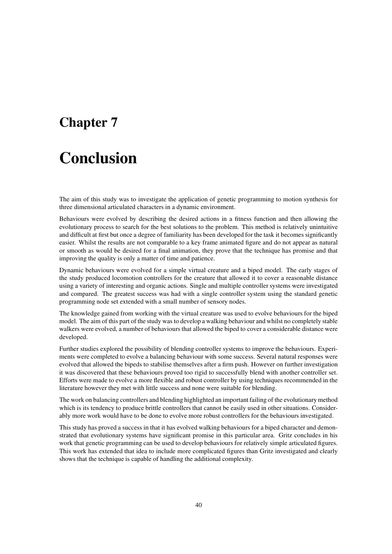## **Chapter 7**

# **Conclusion**

The aim of this study was to investigate the application of genetic programming to motion synthesis for three dimensional articulated characters in a dynamic environment.

Behaviours were evolved by describing the desired actions in a fitness function and then allowing the evolutionary process to search for the best solutions to the problem. This method is relatively unintuitive and difficult at first but once a degree of familiarity has been developed for the task it becomes significantly easier. Whilst the results are not comparable to a key frame animated figure and do not appear as natural or smooth as would be desired for a final animation, they prove that the technique has promise and that improving the quality is only a matter of time and patience.

Dynamic behaviours were evolved for a simple virtual creature and a biped model. The early stages of the study produced locomotion controllers for the creature that allowed it to cover a reasonable distance using a variety of interesting and organic actions. Single and multiple controller systems were investigated and compared. The greatest success was had with a single controller system using the standard genetic programming node set extended with a small number of sensory nodes.

The knowledge gained from working with the virtual creature was used to evolve behaviours for the biped model. The aim of this part of the study was to develop a walking behaviour and whilst no completely stable walkers were evolved, a number of behaviours that allowed the biped to cover a considerable distance were developed.

Further studies explored the possibility of blending controller systems to improve the behaviours. Experiments were completed to evolve a balancing behaviour with some success. Several natural responses were evolved that allowed the bipeds to stabilise themselves after a firm push. However on further investigation it was discovered that these behaviours proved too rigid to successfully blend with another controller set. Efforts were made to evolve a more flexible and robust controller by using techniques recommended in the literature however they met with little success and none were suitable for blending.

The work on balancing controllers and blending highlighted an important failing of the evolutionary method which is its tendency to produce brittle controllers that cannot be easily used in other situations. Considerably more work would have to be done to evolve more robust controllers for the behaviours investigated.

This study has proved a success in that it has evolved walking behaviours for a biped character and demonstrated that evolutionary systems have significant promise in this particular area. Gritz concludes in his work that genetic programming can be used to develop behaviours for relatively simple articulated figures. This work has extended that idea to include more complicated figures than Gritz investigated and clearly shows that the technique is capable of handling the additional complexity.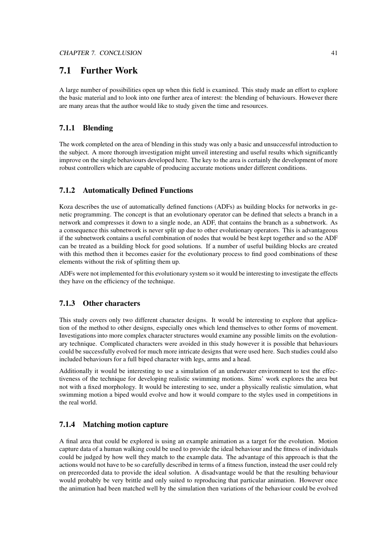## **7.1 Further Work**

A large number of possibilities open up when this field is examined. This study made an effort to explore the basic material and to look into one further area of interest: the blending of behaviours. However there are many areas that the author would like to study given the time and resources.

#### **7.1.1 Blending**

The work completed on the area of blending in this study was only a basic and unsuccessful introduction to the subject. A more thorough investigation might unveil interesting and useful results which significantly improve on the single behaviours developed here. The key to the area is certainly the development of more robust controllers which are capable of producing accurate motions under different conditions.

#### **7.1.2 Automatically Defined Functions**

Koza describes the use of automatically defined functions (ADFs) as building blocks for networks in genetic programming. The concept is that an evolutionary operator can be defined that selects a branch in a network and compresses it down to a single node, an ADF, that contains the branch as a subnetwork. As a consequence this subnetwork is never split up due to other evolutionary operators. This is advantageous if the subnetwork contains a useful combination of nodes that would be best kept together and so the ADF can be treated as a building block for good solutions. If a number of useful building blocks are created with this method then it becomes easier for the evolutionary process to find good combinations of these elements without the risk of splitting them up.

ADFs were not implemented for this evolutionary system so it would be interesting to investigate the effects they have on the efficiency of the technique.

#### **7.1.3 Other characters**

This study covers only two different character designs. It would be interesting to explore that application of the method to other designs, especially ones which lend themselves to other forms of movement. Investigations into more complex character structures would examine any possible limits on the evolutionary technique. Complicated characters were avoided in this study however it is possible that behaviours could be successfully evolved for much more intricate designs that were used here. Such studies could also included behaviours for a full biped character with legs, arms and a head.

Additionally it would be interesting to use a simulation of an underwater environment to test the effectiveness of the technique for developing realistic swimming motions. Sims' work explores the area but not with a fixed morphology. It would be interesting to see, under a physically realistic simulation, what swimming motion a biped would evolve and how it would compare to the styles used in competitions in the real world.

#### **7.1.4 Matching motion capture**

A final area that could be explored is using an example animation as a target for the evolution. Motion capture data of a human walking could be used to provide the ideal behaviour and the fitness of individuals could be judged by how well they match to the example data. The advantage of this approach is that the actions would not have to be so carefully described in terms of a fitness function, instead the user could rely on prerecorded data to provide the ideal solution. A disadvantage would be that the resulting behaviour would probably be very brittle and only suited to reproducing that particular animation. However once the animation had been matched well by the simulation then variations of the behaviour could be evolved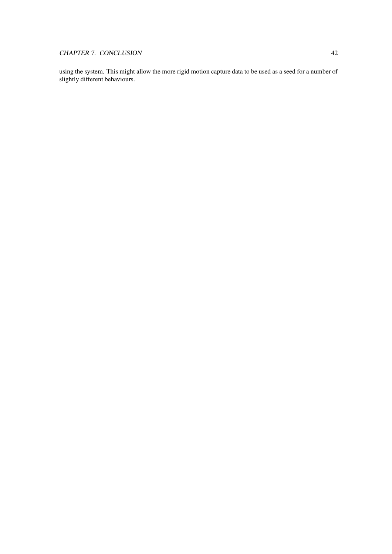using the system. This might allow the more rigid motion capture data to be used as a seed for a number of slightly different behaviours.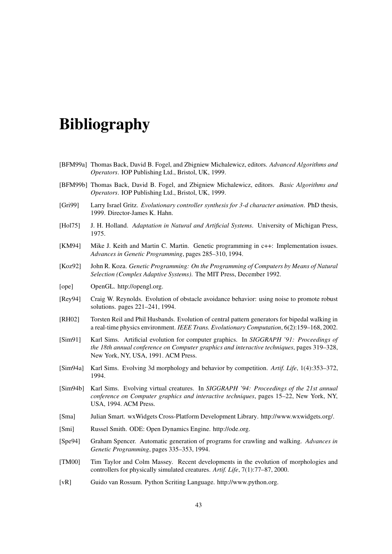# **Bibliography**

- [BFM99a] Thomas Back, David B. Fogel, and Zbigniew Michalewicz, editors. *Advanced Algorithms and Operators*. IOP Publishing Ltd., Bristol, UK, 1999.
- [BFM99b] Thomas Back, David B. Fogel, and Zbigniew Michalewicz, editors. *Basic Algorithms and Operators*. IOP Publishing Ltd., Bristol, UK, 1999.
- [Gri99] Larry Israel Gritz. *Evolutionary controller synthesis for 3-d character animation*. PhD thesis, 1999. Director-James K. Hahn.
- [Hol75] J. H. Holland. *Adaptation in Natural and Artificial Systems*. University of Michigan Press, 1975.
- [KM94] Mike J. Keith and Martin C. Martin. Genetic programming in c++: Implementation issues. *Advances in Genetic Programming*, pages 285–310, 1994.
- [Koz92] John R. Koza. *Genetic Programming: On the Programming of Computers by Means of Natural Selection (Complex Adaptive Systems)*. The MIT Press, December 1992.
- [ope] OpenGL. http://opengl.org.
- [Rey94] Craig W. Reynolds. Evolution of obstacle avoidance behavior: using noise to promote robust solutions. pages 221–241, 1994.
- [RH02] Torsten Reil and Phil Husbands. Evolution of central pattern generators for bipedal walking in a real-time physics environment. *IEEE Trans. Evolutionary Computation*, 6(2):159–168, 2002.
- [Sim91] Karl Sims. Artificial evolution for computer graphics. In *SIGGRAPH '91: Proceedings of the 18th annual conference on Computer graphics and interactive techniques*, pages 319–328, New York, NY, USA, 1991. ACM Press.
- [Sim94a] Karl Sims. Evolving 3d morphology and behavior by competition. *Artif. Life*, 1(4):353–372, 1994.
- [Sim94b] Karl Sims. Evolving virtual creatures. In *SIGGRAPH '94: Proceedings of the 21st annual conference on Computer graphics and interactive techniques*, pages 15–22, New York, NY, USA, 1994. ACM Press.
- [Sma] Julian Smart. wxWidgets Cross-Platform Development Library. http://www.wxwidgets.org/.
- [Smi] Russel Smith. ODE: Open Dynamics Engine. http://ode.org.
- [Spe94] Graham Spencer. Automatic generation of programs for crawling and walking. *Advances in Genetic Programming*, pages 335–353, 1994.
- [TM00] Tim Taylor and Colm Massey. Recent developments in the evolution of morphologies and controllers for physically simulated creatures. *Artif. Life*, 7(1):77–87, 2000.
- [vR] Guido van Rossum. Python Scriting Language. http://www.python.org.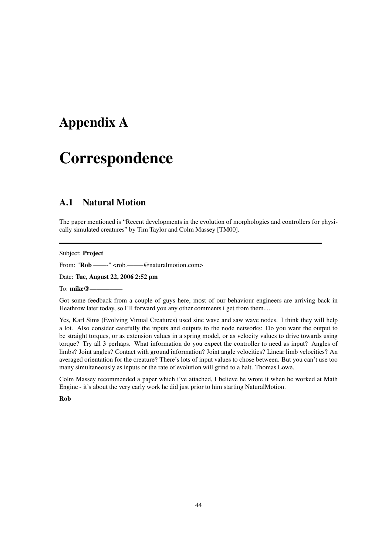## **Appendix A**

# **Correspondence**

## **A.1 Natural Motion**

The paper mentioned is "Recent developments in the evolution of morphologies and controllers for physically simulated creatures" by Tim Taylor and Colm Massey [TM00].

#### Subject: **Project**

From: "**Rob** ——-" <rob. —— @naturalmotion.com>

Date: **Tue, August 22, 2006 2:52 pm**

To: mike@-

Got some feedback from a couple of guys here, most of our behaviour engineers are arriving back in Heathrow later today, so I'll forward you any other comments i get from them.....

Yes, Karl Sims (Evolving Virtual Creatures) used sine wave and saw wave nodes. I think they will help a lot. Also consider carefully the inputs and outputs to the node networks: Do you want the output to be straight torques, or as extension values in a spring model, or as velocity values to drive towards using torque? Try all 3 perhaps. What information do you expect the controller to need as input? Angles of limbs? Joint angles? Contact with ground information? Joint angle velocities? Linear limb velocities? An averaged orientation for the creature? There's lots of input values to chose between. But you can't use too many simultaneously as inputs or the rate of evolution will grind to a halt. Thomas Lowe.

Colm Massey recommended a paper which i've attached, I believe he wrote it when he worked at Math Engine - it's about the very early work he did just prior to him starting NaturalMotion.

**Rob**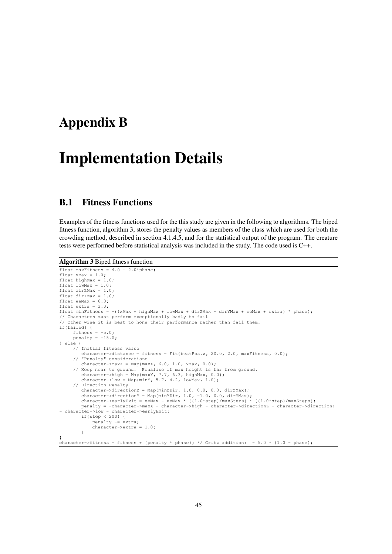## **Appendix B**

# **Implementation Details**

## **B.1 Fitness Functions**

Examples of the fitness functions used for the this study are given in the following to algorithms. The biped fitness function, algorithm 3, stores the penalty values as members of the class which are used for both the crowding method, described in section 4.1.4.5, and for the statistical output of the program. The creature tests were performed before statistical analysis was included in the study. The code used is C++.

#### **Algorithm 3** Biped fitness function

```
float maxFitness = 4.0 + 2.0*phase;
float xMax = 1.0;
float highMax = 1.0;
float lowMax = 1.0;
float dirZMax = 1.0:
float dirYMax = 1.0;
float eeMax = 6.0;
float extra = 3.0;
float minFitness = -((xMax + highMax + lowMax + dirZMax + dirYMax + eeMax + extra) * phase);// Characters must perform exceptionally badly to fail
// Other wise it is best to hone their performance rather than fail them.
if(failed) {
     fitness = -5.0;
     penalty = -15.0;} else {
// Initial fitness value
         character->distance = fitness = Fit(bestPos.z, 20.0, 2.0, maxFitness, 0.0);
     // "Penalty" considerations
        character=\max X = Map(maxX, 6.0, 1.0, xMax, 0.0);// Keep near to ground. Penalise if max height is far from ground.
        character->high = Map(maxY, 7.7, 6.3, highMax, 0.0);
         character->low = Map(minY, 5.7, 4.2, lowMax, 1.0);
     // Direction Penalty
character->directionZ = Map(minZDir, 1.0, 0.0, 0.0, dirZMax);
         character->directionY = Map(minYDir, 1.0, -1.0, 0.0, dirYMax);
character->earlyExit = eeMax - eeMax * ((1.0*step)/maxSteps) * ((1.0*step)/maxSteps);
        penalty = -character->maxX - character->high - character->directionZ - character->directionY
- character->low - character->earlyExit;<br>
if(step < 200) {
             penalty -= extra;
             character->extra = 1.0;
         }
}
character->fitness = fitness + (penalty * phase); // Gritz addition: - 5.0 * (1.0 - phase);
```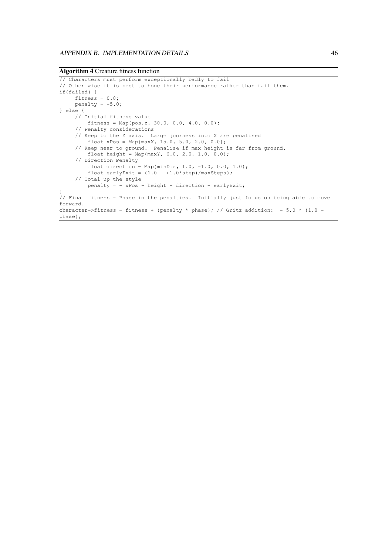**Algorithm 4** Creature fitness function

```
// Characters must perform exceptionally badly to fail
// Other wise it is best to hone their performance rather than fail them.
if(failed) {
    fitness = 0.0;
    penalty = -5.0;
} else {
    // Initial fitness value
        fitness = Map(pos.z, 30.0, 0.0, 4.0, 0.0);
     // Penalty considerations
     // Keep to the Z axis. Large journeys into X are penalised
        float xPos = Map(maxX, 15.0, 5.0, 2.0, 0.0);
     // Keep near to ground. Penalise if max height is far from ground.
        float height = Map(maxY, 6.0, 2.0, 1.0, 0.0);
     // Direction Penalty
        float direction = Map(minDir, 1.0, -1.0, 0.0, 1.0);
         float earlyExit = (1.0 - (1.0 * step)/maxSteps);
     // Total up the style
        penalty = - xPos - height - direction - earlyExit;
}
// Final fitness - Phase in the penalties. Initially just focus on being able to move
forward.
character->fitness = fitness + (penalty * phase); // Gritz addition: - 5.0 * (1.0 -
phase);
```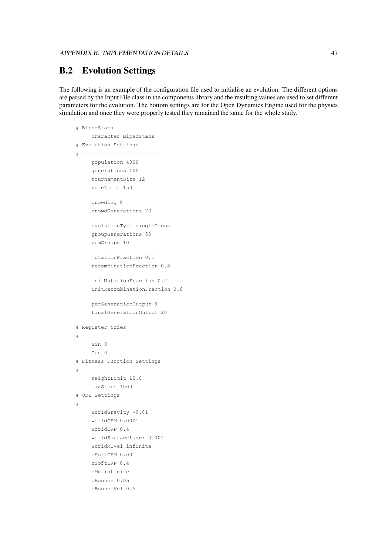## **B.2 Evolution Settings**

The following is an example of the configuration file used to initialise an evolution. The different options are parsed by the Input File class in the components library and the resulting values are used to set different parameters for the evolution. The bottom settings are for the Open Dynamics Engine used for the physics simulation and once they were properly tested they remained the same for the whole study.

```
# BipedStats
    character BipedStats
# Evolution Settings
# -------------------------
    population 4000
    generations 100
    tournamentSize 12
    nodeLimit 150
    crowding 0
    crowdGenerations 70
    evolutionType singleGroup
    groupGenerations 50
    numGroups 10
    mutationFraction 0.1
    recombinationFraction 0.8
    initMutationFraction 0.2
    initRecombinationFraction 0.6
    perGenerationOutput 9
    finalGenerationOutput 20
# Register Nodes
# -------------------------
    Sin 0
    Cos 0
# Fitness Function Settings
# -------------------------
    heightLimit 10.0
    maxSteps 1000
# ODE Settings
# -------------------------
    worldGravity -9.81
    worldCFM 0.0001
    worldERP 0.4
    worldSurfaceLayer 0.001
    worldMCVel infinite
    cSoftCFM 0.001
    cSoftERP 0.4
    cMu infinite
    cBounce 0.05
    cBounceVel 0.5
```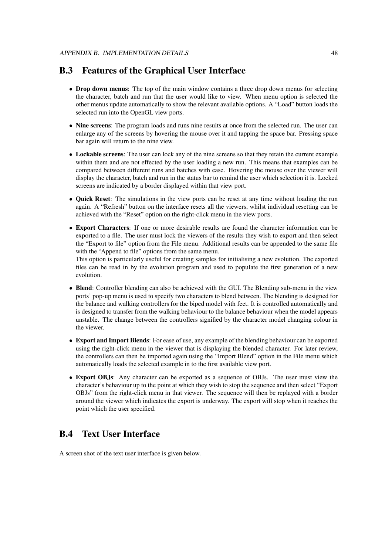## **B.3 Features of the Graphical User Interface**

- **Drop down menus**: The top of the main window contains a three drop down menus for selecting the character, batch and run that the user would like to view. When menu option is selected the other menus update automatically to show the relevant available options. A "Load" button loads the selected run into the OpenGL view ports.
- **Nine screens**: The program loads and runs nine results at once from the selected run. The user can enlarge any of the screens by hovering the mouse over it and tapping the space bar. Pressing space bar again will return to the nine view.
- **Lockable screens**: The user can lock any of the nine screens so that they retain the current example within them and are not effected by the user loading a new run. This means that examples can be compared between different runs and batches with ease. Hovering the mouse over the viewer will display the character, batch and run in the status bar to remind the user which selection it is. Locked screens are indicated by a border displayed within that view port.
- **Quick Reset**: The simulations in the view ports can be reset at any time without loading the run again. A "Refresh" button on the interface resets all the viewers, whilst individual resetting can be achieved with the "Reset" option on the right-click menu in the view ports.
- **Export Characters**: If one or more desirable results are found the character information can be exported to a file. The user must lock the viewers of the results they wish to export and then select the "Export to file" option from the File menu. Additional results can be appended to the same file with the "Append to file" options from the same menu.

This option is particularly useful for creating samples for initialising a new evolution. The exported files can be read in by the evolution program and used to populate the first generation of a new evolution.

- **Blend**: Controller blending can also be achieved with the GUI. The Blending sub-menu in the view ports' pop-up menu is used to specify two characters to blend between. The blending is designed for the balance and walking controllers for the biped model with feet. It is controlled automatically and is designed to transfer from the walking behaviour to the balance behaviour when the model appears unstable. The change between the controllers signified by the character model changing colour in the viewer.
- **Export and Import Blends**: For ease of use, any example of the blending behaviour can be exported using the right-click menu in the viewer that is displaying the blended character. For later review, the controllers can then be imported again using the "Import Blend" option in the File menu which automatically loads the selected example in to the first available view port.
- **Export OBJs**: Any character can be exported as a sequence of OBJs. The user must view the character's behaviour up to the point at which they wish to stop the sequence and then select "Export OBJs" from the right-click menu in that viewer. The sequence will then be replayed with a border around the viewer which indicates the export is underway. The export will stop when it reaches the point which the user specified.

## **B.4 Text User Interface**

A screen shot of the text user interface is given below.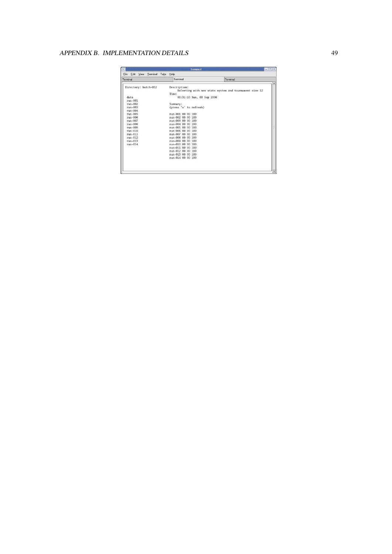### APPENDIX B. IMPLEMENTATION DETAILS 49

| $= 10$<br>Terminal<br>$\tilde{\phantom{a}}$      |                                                                                  |                                                        |  |  |
|--------------------------------------------------|----------------------------------------------------------------------------------|--------------------------------------------------------|--|--|
| File Edit View Terminal<br>Tabs                  | Help                                                                             |                                                        |  |  |
| Terminal                                         | Terminal                                                                         | Terminal                                               |  |  |
| Directory: batch-012<br>data                     | Description:<br>Time:<br>00:31:10 Sun, 03 Sep 2006                               | ReFeeting with new stats system and tournament size 12 |  |  |
| $run-001$<br>$run-002$<br>$run-003$<br>$run-004$ | Summary:<br>(press 's' to refresh)                                               |                                                        |  |  |
| $run-005$<br>$run-006$<br>$run-007$              | run-001 00 00 100<br>run-002 00 00 100<br>run-003 00 00 100                      |                                                        |  |  |
| $run-008$<br>$run-009$<br>$run-010$              | run-004 00 00 100<br>run-005 00 00 100<br>run-006 00 00 100                      |                                                        |  |  |
| $run-011$<br>$run-012$<br>$run-013$              | run-007 00 00 100<br>run-008 00 00 100<br>run-009 00 00 100                      |                                                        |  |  |
| $run-014$                                        | run-010 00 00 100<br>run-011 00 00 100<br>run-012 00 00 100<br>run-013 00 00 100 |                                                        |  |  |
|                                                  | run-014 00 00 100                                                                |                                                        |  |  |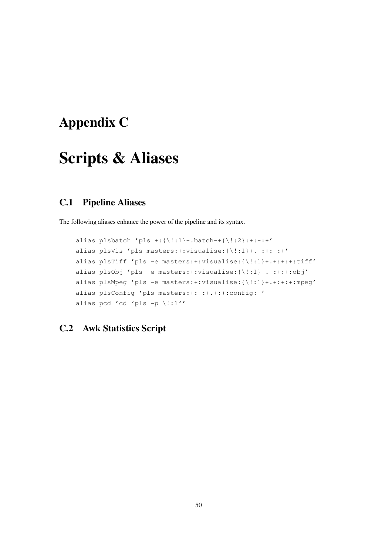# **Appendix C**

# **Scripts & Aliases**

## **C.1 Pipeline Aliases**

The following aliases enhance the power of the pipeline and its syntax.

```
alias plsbatch 'pls +:{\!:1}+.batch-+{\!:2}:+:+:+'
alias plsVis 'pls masters:+:visualise:{\!:1}+.+:+:+:+'
alias plsTiff 'pls -e masters:+:visualise:{\!:1}+.+:+:+:tiff'
alias plsObj 'pls -e masters:+:visualise:{\!:1}+.+:+:+:obj'
alias plsMpeg 'pls -e masters:+:visualise:{\!:1}+.+:+:+:mpeg'
alias plsConfig 'pls masters:+:+:+.+:+:config:+'
alias pcd 'cd 'pls -p \!:1''
```
## **C.2 Awk Statistics Script**